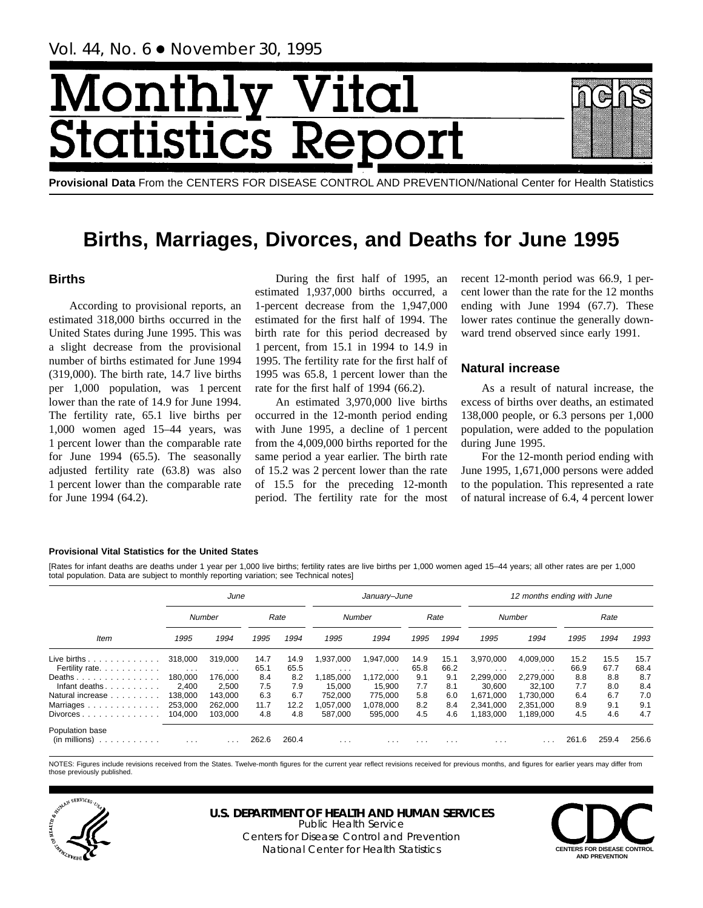# Monthl **Ital** tatist tics F

**Provisional Data** From the CENTERS FOR DISEASE CONTROL AND PREVENTION/National Center for Health Statistics

## **Births, Marriages, Divorces, and Deaths for June 1995**

## **Births**

According to provisional reports, an estimated 318,000 births occurred in the United States during June 1995. This was a slight decrease from the provisional number of births estimated for June 1994 (319,000). The birth rate, 14.7 live births per 1,000 population, was 1 percent lower than the rate of 14.9 for June 1994. The fertility rate, 65.1 live births per 1,000 women aged 15–44 years, was 1 percent lower than the comparable rate for June 1994 (65.5). The seasonally adjusted fertility rate (63.8) was also 1 percent lower than the comparable rate for June 1994 (64.2).

During the first half of 1995, an estimated 1,937,000 births occurred, a 1-percent decrease from the 1,947,000 estimated for the first half of 1994. The birth rate for this period decreased by 1 percent, from 15.1 in 1994 to 14.9 in 1995. The fertility rate for the first half of 1995 was 65.8, 1 percent lower than the rate for the first half of 1994 (66.2).

An estimated 3,970,000 live births occurred in the 12-month period ending with June 1995, a decline of 1 percent from the 4,009,000 births reported for the same period a year earlier. The birth rate of 15.2 was 2 percent lower than the rate of 15.5 for the preceding 12-month period. The fertility rate for the most recent 12-month period was 66.9, 1 percent lower than the rate for the 12 months ending with June 1994 (67.7). These lower rates continue the generally downward trend observed since early 1991.

## **Natural increase**

As a result of natural increase, the excess of births over deaths, an estimated 138,000 people, or 6.3 persons per 1,000 population, were added to the population during June 1995.

For the 12-month period ending with June 1995, 1,671,000 persons were added to the population. This represented a rate of natural increase of 6.4, 4 percent lower

### **Provisional Vital Statistics for the United States**

[Rates for infant deaths are deaths under 1 year per 1,000 live births; fertility rates are live births per 1,000 women aged 15–44 years; all other rates are per 1,000 total population. Data are subject to monthly reporting variation; see Technical notes]

|                                                         |                                    | June                    |              |              |                         | January-June            |              |              |                        | 12 months ending with June |              |              |              |
|---------------------------------------------------------|------------------------------------|-------------------------|--------------|--------------|-------------------------|-------------------------|--------------|--------------|------------------------|----------------------------|--------------|--------------|--------------|
|                                                         |                                    | Number                  |              | Rate         |                         | Number                  |              | Rate         |                        | Number                     |              | Rate         |              |
| Item                                                    | 1995                               | 1994                    | 1995         | 1994         | 1995                    | 1994                    | 1995         | 1994         | 1995                   | 1994                       | 1995         | 1994         | 1993         |
| Live births $\ldots$<br>Fertility rate.                 | 318,000<br>$\sim 100$ km s $^{-1}$ | 319.000<br>$\cdots$     | 14.7<br>65.1 | 14.9<br>65.5 | 1,937,000<br>$\cdots$   | 1,947,000<br>$\cdots$   | 14.9<br>65.8 | 15.1<br>66.2 | 3,970,000<br>$\cdots$  | 4,009,000<br>.             | 15.2<br>66.9 | 15.5<br>67.7 | 15.7<br>68.4 |
| Deaths<br>Infant deaths. $\ldots$ .                     | 180,000<br>2,400                   | 176,000<br>2,500        | 8.4<br>7.5   | 8.2<br>7.9   | 1,185,000<br>15,000     | 1,172,000<br>15,900     | 9.1<br>7.7   | 9.1<br>8.1   | 2,299,000<br>30,600    | 2,279,000<br>32.100        | 8.8<br>7.7   | 8.8<br>8.0   | 8.7<br>8.4   |
| Natural increase<br>Marriages                           | 138.000<br>253,000                 | 143.000<br>262,000      | 6.3<br>11.7  | 6.7<br>12.2  | 752.000<br>057,000      | 775.000<br>1,078,000    | 5.8<br>8.2   | 6.0<br>8.4   | 1.671.000<br>2,341,000 | 1.730.000<br>2,351,000     | 6.4<br>8.9   | 6.7<br>9.1   | 7.0<br>9.1   |
| $Divorces \ldots \ldots \ldots \ldots$                  | 104.000                            | 103.000                 | 4.8          | 4.8          | 587,000                 | 595,000                 | 4.5          | 4.6          | 183,000                | 1,189,000                  | 4.5          | 4.6          | 4.7          |
| Population base<br>$(in$ millions $) \dots \dots \dots$ | $\cdots$                           | $\cdot$ $\cdot$ $\cdot$ | 262.6        | 260.4        | $\cdot$ $\cdot$ $\cdot$ | $\cdot$ $\cdot$ $\cdot$ | $\cdots$     | $\cdots$     | $\cdots$               |                            | 261.6        | 259.4        | 256.6        |

NOTES: Figures include revisions received from the States. Twelve-month figures for the current year reflect revisions received for previous months, and figures for earlier years may differ from those previously published.



**U.S. DEPARTMENT OF HEALTH AND HUMAN SERVICES** Public Health Service

Centers for Disease Control and Prevention National Center for Health Statistics **CENTERS FOR DISEASE CONTROL** 

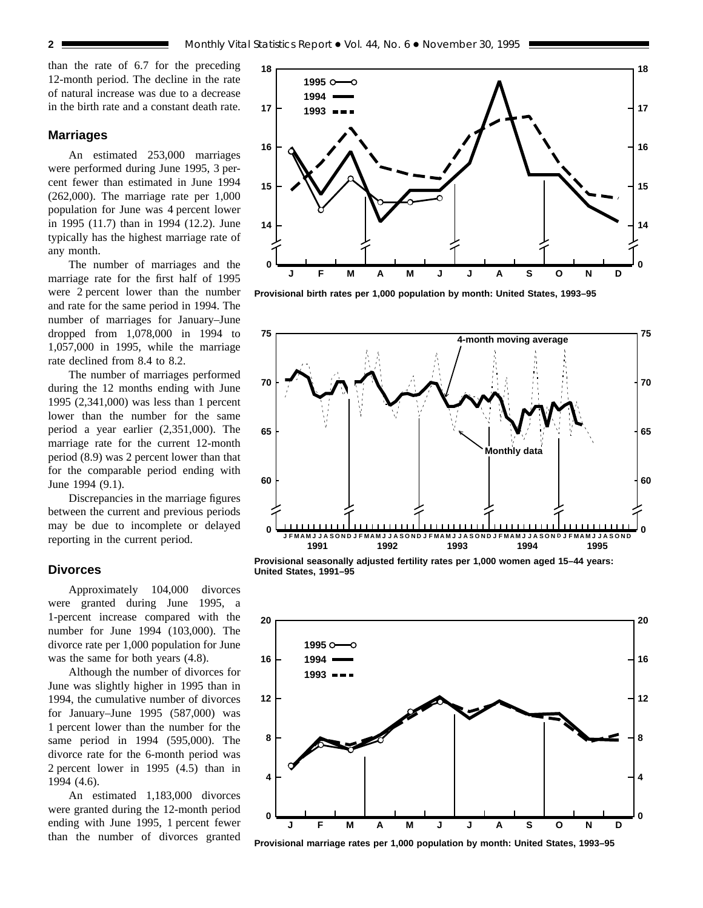than the rate of 6.7 for the preceding 12-month period. The decline in the rate of natural increase was due to a decrease in the birth rate and a constant death rate.

### **Marriages**

An estimated 253,000 marriages were performed during June 1995, 3 percent fewer than estimated in June 1994 (262,000). The marriage rate per 1,000 population for June was 4 percent lower in 1995 (11.7) than in 1994 (12.2). June typically has the highest marriage rate of any month.

The number of marriages and the marriage rate for the first half of 1995 were 2 percent lower than the number and rate for the same period in 1994. The number of marriages for January–June dropped from 1,078,000 in 1994 to 1,057,000 in 1995, while the marriage rate declined from 8.4 to 8.2.

The number of marriages performed during the 12 months ending with June 1995 (2,341,000) was less than 1 percent lower than the number for the same period a year earlier (2,351,000). The marriage rate for the current 12-month period (8.9) was 2 percent lower than that for the comparable period ending with June 1994 (9.1).

Discrepancies in the marriage figures between the current and previous periods may be due to incomplete or delayed reporting in the current period.

## **Divorces**

Approximately 104,000 divorces were granted during June 1995, a 1-percent increase compared with the number for June 1994 (103,000). The divorce rate per 1,000 population for June was the same for both years (4.8).

Although the number of divorces for June was slightly higher in 1995 than in 1994, the cumulative number of divorces for January–June 1995 (587,000) was 1 percent lower than the number for the same period in 1994 (595,000). The divorce rate for the 6-month period was 2 percent lower in 1995 (4.5) than in 1994 (4.6).

An estimated 1,183,000 divorces were granted during the 12-month period ending with June 1995, 1 percent fewer than the number of divorces granted



**Provisional birth rates per 1,000 population by month: United States, 1993–95**



**Provisional seasonally adjusted fertility rates per 1,000 women aged 15–44 years: United States, 1991–95**



**Provisional marriage rates per 1,000 population by month: United States, 1993–95**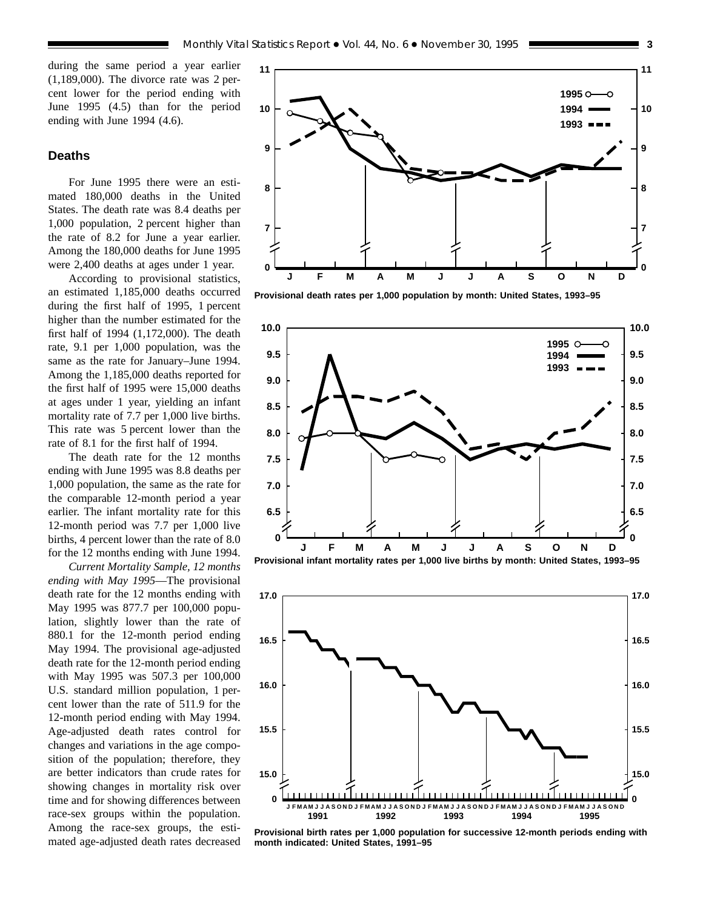during the same period a year earlier (1,189,000). The divorce rate was 2 percent lower for the period ending with June 1995 (4.5) than for the period ending with June 1994 (4.6).

## **Deaths**

For June 1995 there were an estimated 180,000 deaths in the United States. The death rate was 8.4 deaths per 1,000 population, 2 percent higher than the rate of 8.2 for June a year earlier. Among the 180,000 deaths for June 1995 were 2,400 deaths at ages under 1 year.

According to provisional statistics, an estimated 1,185,000 deaths occurred during the first half of 1995, 1 percent higher than the number estimated for the first half of 1994 (1,172,000). The death rate, 9.1 per 1,000 population, was the same as the rate for January–June 1994. Among the 1,185,000 deaths reported for the first half of 1995 were 15,000 deaths at ages under 1 year, yielding an infant mortality rate of 7.7 per 1,000 live births. This rate was 5 percent lower than the rate of 8.1 for the first half of 1994.

The death rate for the 12 months ending with June 1995 was 8.8 deaths per 1,000 population, the same as the rate for the comparable 12-month period a year earlier. The infant mortality rate for this 12-month period was 7.7 per 1,000 live births, 4 percent lower than the rate of 8.0 for the 12 months ending with June 1994.

*Current Mortality Sample, 12 months ending with May 1995*—The provisional death rate for the 12 months ending with May 1995 was 877.7 per 100,000 population, slightly lower than the rate of 880.1 for the 12-month period ending May 1994. The provisional age-adjusted death rate for the 12-month period ending with May 1995 was 507.3 per 100,000 U.S. standard million population, 1 percent lower than the rate of 511.9 for the 12-month period ending with May 1994. Age-adjusted death rates control for changes and variations in the age composition of the population; therefore, they are better indicators than crude rates for showing changes in mortality risk over time and for showing differences between race-sex groups within the population. Among the race-sex groups, the estimated age-adjusted death rates decreased



**Provisional death rates per 1,000 population by month: United States, 1993–95**





**Provisional birth rates per 1,000 population for successive 12-month periods ending with month indicated: United States, 1991–95**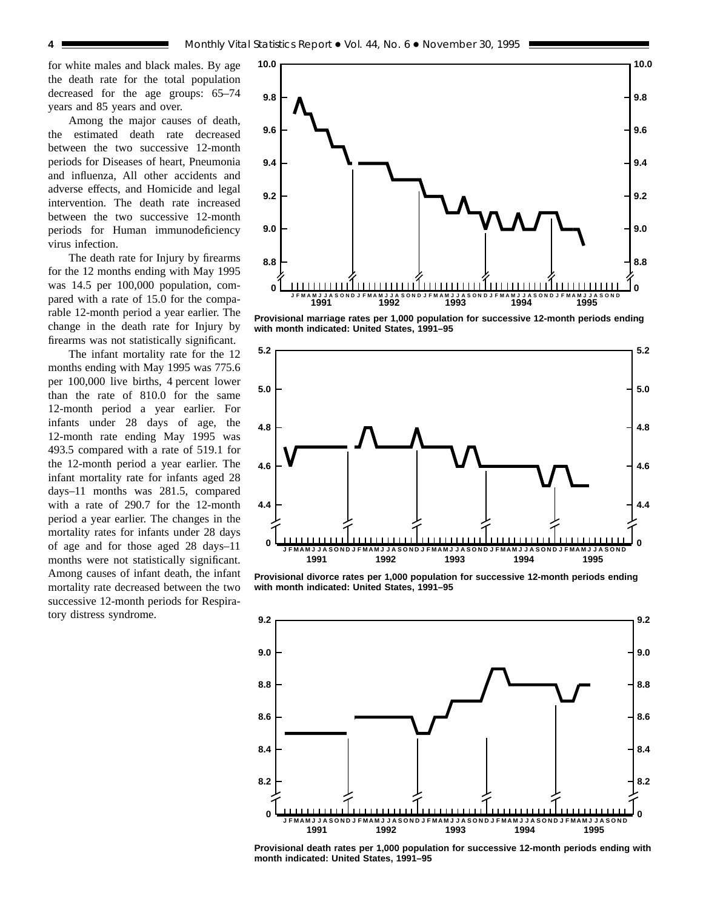for white males and black males. By age the death rate for the total population decreased for the age groups: 65–74 years and 85 years and over.

Among the major causes of death, the estimated death rate decreased between the two successive 12-month periods for Diseases of heart, Pneumonia and influenza, All other accidents and adverse effects, and Homicide and legal intervention. The death rate increased between the two successive 12-month periods for Human immunodeficiency virus infection.

The death rate for Injury by firearms for the 12 months ending with May 1995 was 14.5 per 100,000 population, compared with a rate of 15.0 for the comparable 12-month period a year earlier. The change in the death rate for Injury by firearms was not statistically significant.

The infant mortality rate for the 12 months ending with May 1995 was 775.6 per 100,000 live births, 4 percent lower than the rate of 810.0 for the same 12-month period a year earlier. For infants under 28 days of age, the 12-month rate ending May 1995 was 493.5 compared with a rate of 519.1 for the 12-month period a year earlier. The infant mortality rate for infants aged 28 days–11 months was 281.5, compared with a rate of 290.7 for the 12-month period a year earlier. The changes in the mortality rates for infants under 28 days of age and for those aged 28 days–11 months were not statistically significant. Among causes of infant death, the infant mortality rate decreased between the two successive 12-month periods for Respiratory distress syndrome.



**Provisional marriage rates per 1,000 population for successive 12-month periods ending with month indicated: United States, 1991–95**



**Provisional divorce rates per 1,000 population for successive 12-month periods ending with month indicated: United States, 1991–95**



**Provisional death rates per 1,000 population for successive 12-month periods ending with month indicated: United States, 1991–95**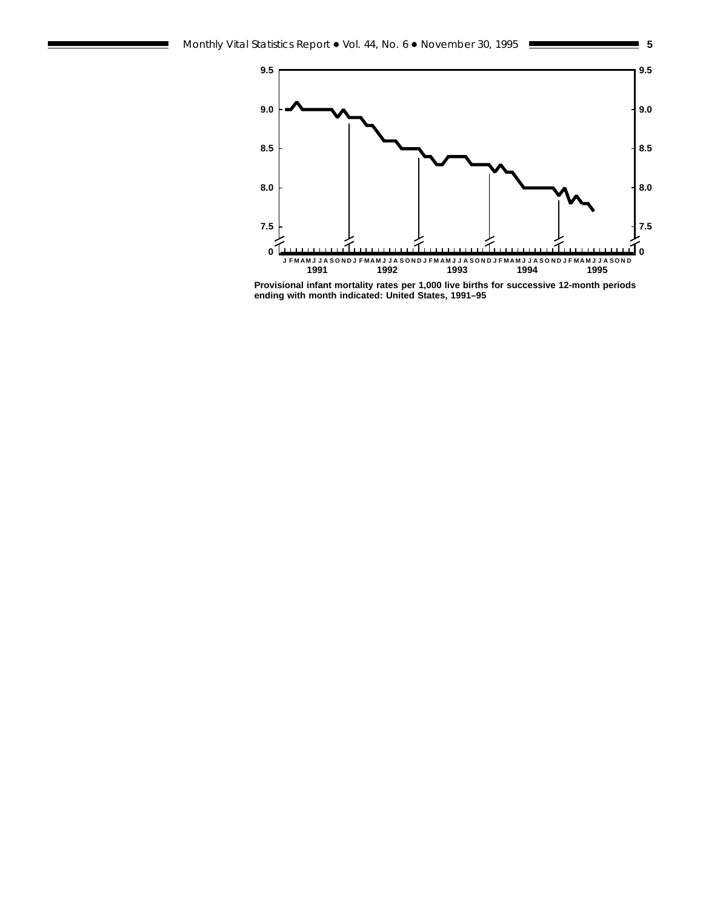

**Provisional infant mortality rates per 1,000 live births for successive 12-month periods ending with month indicated: United States, 1991–95**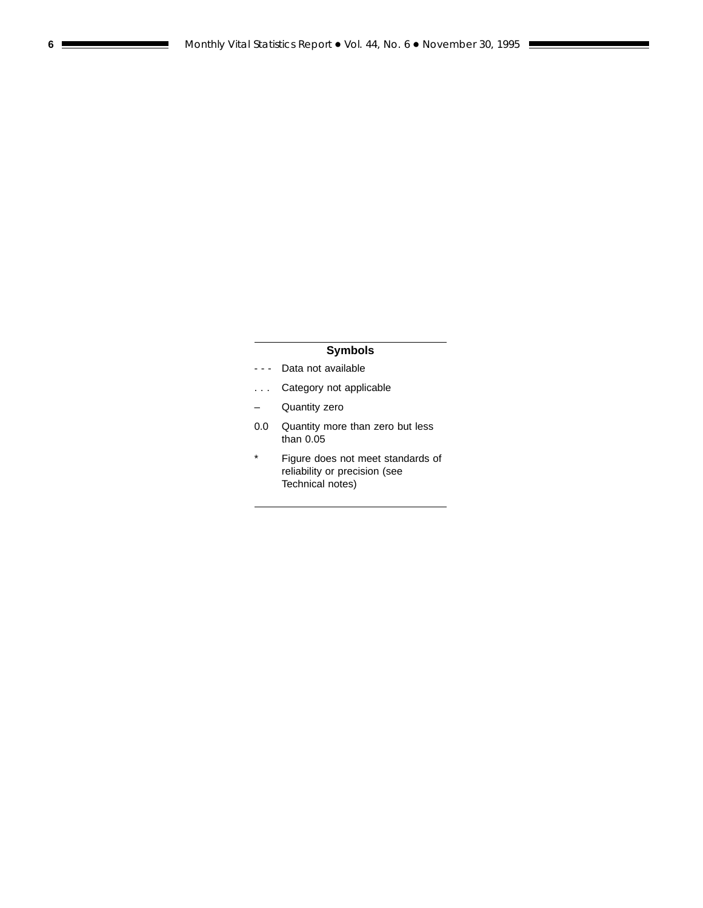## **Symbols**

- - Data not available
- . . . Category not applicable
- Quantity zero
- 0.0 Quantity more than zero but less than 0.05
- \* Figure does not meet standards of reliability or precision (see Technical notes)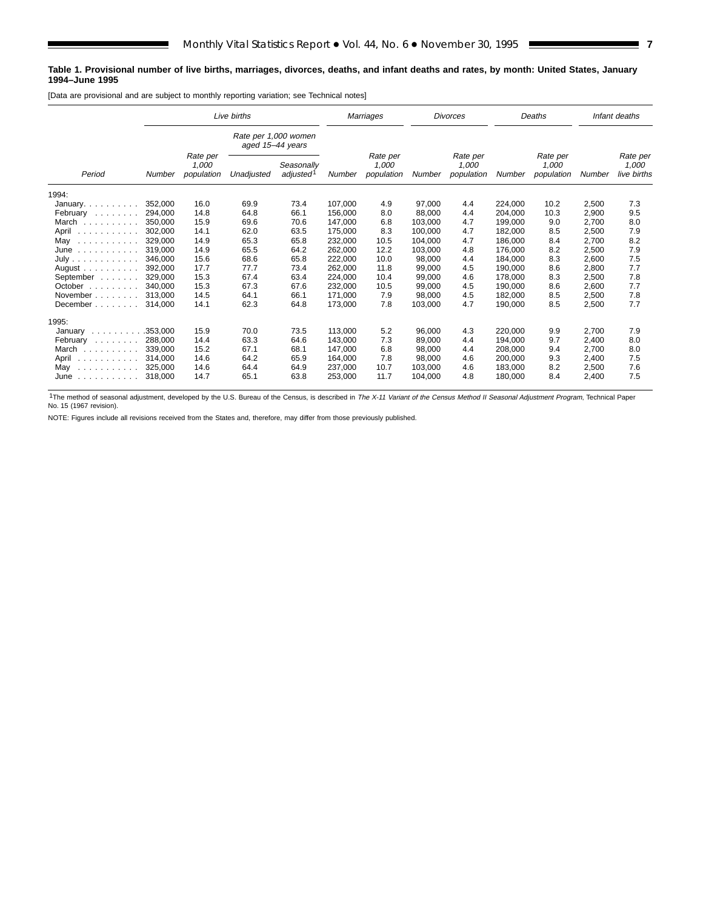#### **Table 1. Provisional number of live births, marriages, divorces, deaths, and infant deaths and rates, by month: United States, January 1994–June 1995**

[Data are provisional and are subject to monthly reporting variation; see Technical notes]

|                                       |          | Live births                     |                                          |                                     |         | Marriages                       |         | <b>Divorces</b>                 |         | Deaths                          |        | Infant deaths                    |
|---------------------------------------|----------|---------------------------------|------------------------------------------|-------------------------------------|---------|---------------------------------|---------|---------------------------------|---------|---------------------------------|--------|----------------------------------|
|                                       |          |                                 | Rate per 1,000 women<br>aged 15-44 years |                                     |         |                                 |         |                                 |         |                                 |        |                                  |
| Period                                | Number   | Rate per<br>1,000<br>population | Unadjusted                               | Seasonally<br>adjusted <sup>1</sup> | Number  | Rate per<br>1,000<br>population | Number  | Rate per<br>1,000<br>population | Number  | Rate per<br>1,000<br>population | Number | Rate per<br>1,000<br>live births |
| 1994:                                 |          |                                 |                                          |                                     |         |                                 |         |                                 |         |                                 |        |                                  |
| January. $\ldots$ .                   | 352,000  | 16.0                            | 69.9                                     | 73.4                                | 107.000 | 4.9                             | 97.000  | 4.4                             | 224.000 | 10.2                            | 2,500  | 7.3                              |
| February                              | 294,000  | 14.8                            | 64.8                                     | 66.1                                | 156,000 | 8.0                             | 88,000  | 4.4                             | 204,000 | 10.3                            | 2,900  | 9.5                              |
| March                                 | 350.000  | 15.9                            | 69.6                                     | 70.6                                | 147.000 | 6.8                             | 103.000 | 4.7                             | 199.000 | 9.0                             | 2,700  | 8.0                              |
| April<br>.                            | 302,000  | 14.1                            | 62.0                                     | 63.5                                | 175,000 | 8.3                             | 100,000 | 4.7                             | 182,000 | 8.5                             | 2,500  | 7.9                              |
| May<br>.                              | 329,000  | 14.9                            | 65.3                                     | 65.8                                | 232,000 | 10.5                            | 104,000 | 4.7                             | 186,000 | 8.4                             | 2,700  | 8.2                              |
| June<br>.                             | 319.000  | 14.9                            | 65.5                                     | 64.2                                | 262.000 | 12.2                            | 103,000 | 4.8                             | 176.000 | 8.2                             | 2,500  | 7.9                              |
| July                                  | 346.000  | 15.6                            | 68.6                                     | 65.8                                | 222,000 | 10.0                            | 98,000  | 4.4                             | 184,000 | 8.3                             | 2,600  | 7.5                              |
| August $\ldots$ , $\ldots$ , $\ldots$ | 392.000  | 17.7                            | 77.7                                     | 73.4                                | 262.000 | 11.8                            | 99,000  | 4.5                             | 190.000 | 8.6                             | 2,800  | 7.7                              |
| September                             | 329.000  | 15.3                            | 67.4                                     | 63.4                                | 224,000 | 10.4                            | 99,000  | 4.6                             | 178,000 | 8.3                             | 2,500  | 7.8                              |
| October                               | 340.000  | 15.3                            | 67.3                                     | 67.6                                | 232.000 | 10.5                            | 99,000  | 4.5                             | 190.000 | 8.6                             | 2.600  | 7.7                              |
| November                              | 313.000  | 14.5                            | 64.1                                     | 66.1                                | 171,000 | 7.9                             | 98,000  | 4.5                             | 182,000 | 8.5                             | 2,500  | 7.8                              |
| December                              | 314,000  | 14.1                            | 62.3                                     | 64.8                                | 173,000 | 7.8                             | 103,000 | 4.7                             | 190,000 | 8.5                             | 2,500  | 7.7                              |
| 1995:                                 |          |                                 |                                          |                                     |         |                                 |         |                                 |         |                                 |        |                                  |
| January<br>1.1.1.1.1.1.1.1            | .353.000 | 15.9                            | 70.0                                     | 73.5                                | 113.000 | 5.2                             | 96.000  | 4.3                             | 220.000 | 9.9                             | 2.700  | 7.9                              |
| February<br>and a state of the        | 288,000  | 14.4                            | 63.3                                     | 64.6                                | 143.000 | 7.3                             | 89.000  | 4.4                             | 194.000 | 9.7                             | 2.400  | 8.0                              |
| March                                 | 339.000  | 15.2                            | 67.1                                     | 68.1                                | 147.000 | 6.8                             | 98.000  | 4.4                             | 208.000 | 9.4                             | 2.700  | 8.0                              |
| April<br>.                            | 314,000  | 14.6                            | 64.2                                     | 65.9                                | 164,000 | 7.8                             | 98,000  | 4.6                             | 200,000 | 9.3                             | 2,400  | 7.5                              |
| May<br>.                              | 325.000  | 14.6                            | 64.4                                     | 64.9                                | 237.000 | 10.7                            | 103.000 | 4.6                             | 183.000 | 8.2                             | 2,500  | 7.6                              |
| June<br>and a contract and a          | 318,000  | 14.7                            | 65.1                                     | 63.8                                | 253.000 | 11.7                            | 104,000 | 4.8                             | 180.000 | 8.4                             | 2.400  | 7.5                              |

<sup>1</sup>The method of seasonal adjustment, developed by the U.S. Bureau of the Census, is described in The X-11 Variant of the Census Method II Seasonal Adjustment Program, Technical Paper No. 15 (1967 revision).

NOTE: Figures include all revisions received from the States and, therefore, may differ from those previously published.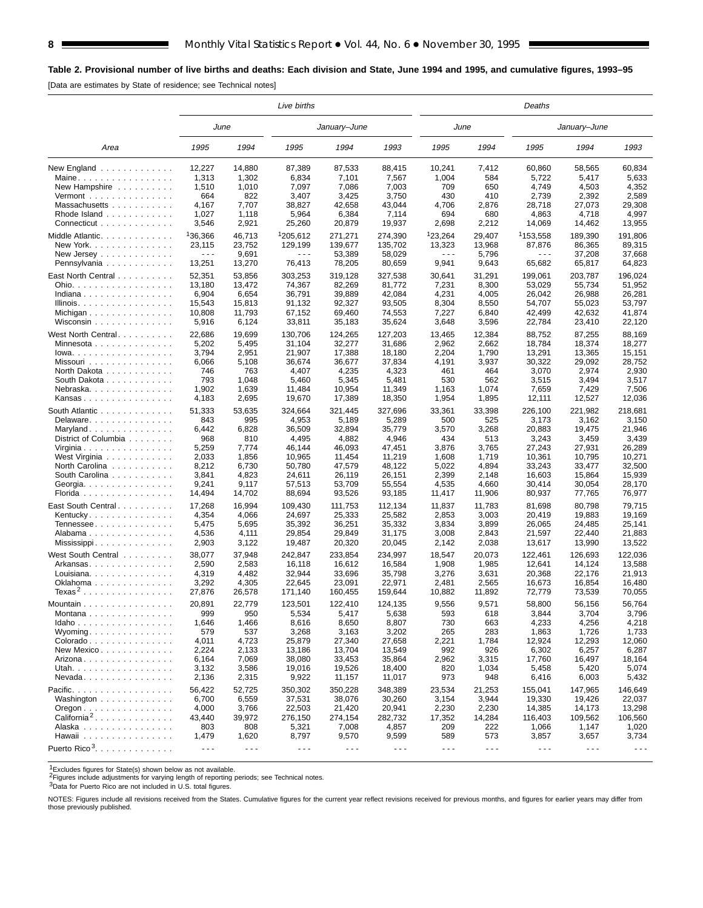## **Table 2. Provisional number of live births and deaths: Each division and State, June 1994 and 1995, and cumulative figures, 1993–95**

[Data are estimates by State of residence; see Technical notes]

|                                          |                      |        | Live births          | Deaths<br>June       |                      |                      |                      |                      |                      |         |
|------------------------------------------|----------------------|--------|----------------------|----------------------|----------------------|----------------------|----------------------|----------------------|----------------------|---------|
|                                          | June                 |        |                      | January-June         |                      |                      |                      |                      | January-June         |         |
| Area                                     | 1995                 | 1994   | 1995                 | 1994                 | 1993                 | 1995                 | 1994                 | 1995                 | 1994                 | 1993    |
| New England $\ldots$                     | 12.227               | 14,880 | 87,389               | 87,533               | 88,415               | 10,241               | 7,412                | 60,860               | 58,565               | 60,834  |
| Maine                                    | 1,313                | 1,302  | 6,834                | 7,101                | 7,567                | 1,004                | 584                  | 5,722                | 5,417                | 5,633   |
| New Hampshire                            | 1,510                | 1,010  | 7,097                | 7,086                | 7,003                | 709                  | 650                  | 4,749                | 4,503                | 4,352   |
| Vermont $\dots\dots\dots\dots\dots\dots$ | 664                  | 822    | 3,407                | 3,425                | 3,750                | 430                  | 410                  | 2,739                | 2,392                | 2,589   |
| Massachusetts                            | 4,167                | 7,707  | 38,827               | 42,658               | 43,044               | 4,706                | 2,876                | 28,718               | 27,073               | 29,308  |
| Rhode Island                             | 1,027                | 1,118  | 5,964                | 6,384                | 7,114                | 694                  | 680                  | 4,863                | 4,718                | 4,997   |
| Connecticut                              | 3,546                | 2,921  | 25,260               | 20,879               | 19,937               | 2,698                | 2,212                | 14,069               | 14,462               | 13,955  |
| Middle Atlantic                          | 136,366              | 46,713 | 1205.612             | 271,271              | 274,390              | <sup>1</sup> 23.264  | 29,407               | <sup>1</sup> 153,558 | 189.390              | 191,806 |
| New York.                                | 23,115               | 23,752 | 129,199              | 139,677              | 135,702              | 13,323               | 13,968               | 87,876               | 86,365               | 89,315  |
| New Jersey                               | $- - -$              | 9,691  | $\sim$ $\sim$ $\sim$ | 53,389               | 58,029               | $- - -$              | 5,796                | $\sim$ $\sim$ $\sim$ | 37,208               | 37.668  |
| Pennsylvania                             | 13,251               | 13,270 | 76,413               | 78,205               | 80,659               | 9,941                | 9,643                | 65,682               | 65,817               | 64,823  |
|                                          | 52,351               | 53,856 | 303,253              | 319,128              | 327,538              | 30,641               | 31,291               | 199,061              | 203,787              | 196,024 |
| East North Central<br>Ohio.              | 13,180               | 13,472 | 74,367               | 82,269               | 81,772               | 7,231                | 8,300                | 53,029               | 55,734               | 51,952  |
| Indiana                                  | 6,904                | 6,654  |                      | 39,889               | 42,084               | 4,231                | 4,005                | 26,042               | 26,988               |         |
|                                          |                      | 15,813 | 36,791               |                      | 93,505               | 8,304                |                      |                      |                      | 26,281  |
| Illinois.                                | 15,543               |        | 91,132               | 92,327               |                      |                      | 8,550                | 54,707               | 55,023               | 53,797  |
| Michigan                                 | 10,808               | 11,793 | 67,152               | 69,460               | 74,553               | 7,227                | 6,840                | 42,499               | 42,632               | 41,874  |
| Wisconsin                                | 5,916                | 6,124  | 33,811               | 35,183               | 35,624               | 3,648                | 3,596                | 22,784               | 23,410               | 22,120  |
| West North Central                       | 22,686               | 19,699 | 130,706              | 124,265              | 127,203              | 13,465               | 12,384               | 88,752               | 87,255               | 88,169  |
| Minnesota                                | 5,202                | 5,495  | 31,104               | 32,277               | 31,686               | 2,962                | 2,662                | 18,784               | 18,374               | 18,277  |
| $lowa.$                                  | 3,794                | 2,951  | 21,907               | 17,388               | 18,180               | 2,204                | 1,790                | 13,291               | 13,365               | 15,151  |
| Missouri                                 | 6,066                | 5,108  | 36,674               | 36,677               | 37,834               | 4,191                | 3,937                | 30,322               | 29,092               | 28,752  |
| North Dakota                             | 746                  | 763    | 4,407                | 4,235                | 4,323                | 461                  | 464                  | 3,070                | 2,974                | 2,930   |
| South Dakota                             | 793                  | 1,048  | 5,460                | 5,345                | 5,481                | 530                  | 562                  | 3,515                | 3,494                | 3,517   |
| Nebraska                                 | 1,902                | 1,639  | 11,484               | 10,954               | 11.349               | 1,163                | 1,074                | 7,659                | 7,429                | 7,506   |
| Kansas                                   | 4,183                | 2,695  | 19,670               | 17,389               | 18,350               | 1,954                | 1,895                | 12,111               | 12,527               | 12,036  |
| South Atlantic                           | 51,333               | 53,635 | 324,664              | 321,445              | 327,696              | 33,361               | 33,398               | 226,100              | 221,982              | 218,681 |
| Delaware.                                | 843                  | 995    | 4,953                | 5,189                | 5,289                | 500                  | 525                  | 3,173                | 3,162                | 3,150   |
|                                          | 6,442                | 6,828  | 36,509               | 32,894               | 35,779               | 3,570                | 3,268                | 20,883               | 19,475               | 21,946  |
| Maryland                                 | 968                  | 810    |                      | 4,882                | 4,946                | 434                  | 513                  |                      |                      |         |
| District of Columbia                     |                      |        | 4,495                |                      |                      |                      |                      | 3,243                | 3,459                | 3,439   |
| Virginia                                 | 5,259                | 7,774  | 46,144               | 46,093               | 47,451               | 3,876                | 3,765                | 27,243               | 27,931               | 26,289  |
| West Virginia                            | 2,033                | 1,856  | 10,965               | 11,454               | 11,219               | 1,608                | 1,719                | 10,361               | 10,795               | 10,271  |
| North Carolina                           | 8,212                | 6,730  | 50,780               | 47,579               | 48,122               | 5,022                | 4,894                | 33,243               | 33,477               | 32,500  |
| South Carolina                           | 3,841                | 4,823  | 24,611               | 26,119               | 26,151               | 2,399                | 2,148                | 16,603               | 15,864               | 15,939  |
| Georgia.                                 | 9,241                | 9,117  | 57,513               | 53,709               | 55,554               | 4,535                | 4,660                | 30,414               | 30,054               | 28,170  |
| Florida                                  | 14,494               | 14,702 | 88,694               | 93,526               | 93,185               | 11,417               | 11,906               | 80,937               | 77,765               | 76,977  |
| East South Central                       | 17,268               | 16,994 | 109,430              | 111,753              | 112,134              | 11,837               | 11,783               | 81,698               | 80,798               | 79,715  |
| Kentucky.                                | 4,354                | 4,066  | 24,697               | 25,333               | 25,582               | 2,853                | 3,003                | 20,419               | 19,883               | 19,169  |
| Tennessee                                | 5,475                | 5,695  | 35,392               | 36,251               | 35,332               | 3,834                | 3,899                | 26,065               | 24,485               | 25,141  |
| Alabama                                  | 4,536                | 4,111  | 29,854               | 29,849               | 31,175               | 3,008                | 2,843                | 21,597               | 22,440               | 21,883  |
| Mississippi                              | 2,903                | 3,122  | 19,487               | 20,320               | 20,045               | 2,142                | 2,038                | 13,617               | 13,990               | 13,522  |
| West South Central                       | 38,077               | 37,948 | 242,847              | 233,854              | 234,997              | 18,547               | 20,073               | 122,461              | 126,693              | 122,036 |
| Arkansas                                 | 2,590                | 2,583  | 16,118               | 16,612               | 16,584               | 1,908                | 1,985                | 12,641               | 14.124               | 13,588  |
| Louisiana.                               | 4,319                | 4,482  | 32,944               | 33,696               | 35,798               | 3,276                | 3,631                | 20,368               | 22,176               | 21,913  |
| Oklahoma                                 | 3,292                | 4,305  | 22,645               | 23,091               | 22,971               | 2,481                | 2,565                | 16,673               | 16,854               | 16,480  |
| Texas <sup>2</sup>                       | 27,876               | 26,578 | 171,140              | 160,455              | 159,644              | 10,882               | 11,892               | 72,779               | 73,539               | 70,055  |
|                                          |                      |        |                      |                      |                      |                      |                      |                      |                      |         |
| Mountain                                 | 20,891               | 22,779 | 123,501              | 122,410              | 124,135              | 9,556                | 9,571                | 58,800               | 56,156               | 56,764  |
| Montana                                  | 999                  | 950    | 5,534                | 5,417                | 5,638                | 593                  | 618                  | 3,844                | 3,704                | 3,796   |
| Idaho                                    | 1,646                | 1,466  | 8,616                | 8,650                | 8,807                | 730                  | 663                  | 4,233                | 4,256                | 4,218   |
| Wyoming                                  | 579                  | 537    | 3,268                | 3,163                | 3,202                | 265                  | 283                  | 1,863                | 1,726                | 1,733   |
| Colorado                                 | 4,011                | 4,723  | 25,879               | 27,340               | 27,658               | 2,221                | 1,784                | 12,924               | 12,293               | 12,060  |
| New Mexico                               | 2,224                | 2,133  | 13,186               | 13,704               | 13,549               | 992                  | 926                  | 6,302                | 6,257                | 6,287   |
| Arizona                                  | 6,164                | 7,069  | 38,080               | 33,453               | 35,864               | 2,962                | 3,315                | 17,760               | 16,497               | 18,164  |
| Utah.                                    | 3,132                | 3,586  | 19,016               | 19,526               | 18,400               | 820                  | 1,034                | 5,458                | 5,420                | 5,074   |
| $N$ evada                                | 2,136                | 2,315  | 9,922                | 11,157               | 11,017               | 973                  | 948                  | 6,416                | 6,003                | 5,432   |
| Pacific.                                 | 56,422               | 52.725 | 350,302              | 350,228              | 348,389              | 23,534               | 21,253               | 155,041              | 147.965              | 146,649 |
| Washington                               | 6,700                | 6,559  | 37,531               | 38,076               | 30,260               | 3,154                | 3,944                | 19,330               | 19,426               | 22,037  |
| $O$ regon $\ldots \ldots \ldots \ldots$  | 4,000                | 3,766  | 22,503               | 21,420               | 20,941               | 2,230                | 2,230                | 14,385               | 14,173               | 13,298  |
| California <sup>2</sup> .                | 43,440               | 39,972 | 276,150              | 274,154              | 282,732              | 17,352               | 14,284               | 116,403              | 109.562              | 106,560 |
| Alaska                                   | 803                  | 808    | 5,321                | 7,008                | 4,857                | 209                  | 222                  | 1,066                | 1,147                | 1,020   |
| Hawaii                                   | 1,479                | 1,620  | 8,797                | 9,570                | 9,599                | 589                  | 573                  | 3,857                | 3,657                | 3,734   |
|                                          |                      |        |                      |                      |                      |                      |                      |                      |                      |         |
| Puerto Rico <sup>3</sup> .               | $\sim$ $\sim$ $\sim$ | .      | $\sim$ $\sim$ $\sim$ | $\sim$ $\sim$ $\sim$ | $\sim$ $\sim$ $\sim$ | $\sim$ $\sim$ $\sim$ | $\sim$ $\sim$ $\sim$ | $\sim$ $\sim$ $\sim$ | $\sim$ $\sim$ $\sim$ |         |

1Excludes figures for State(s) shown below as not available. 2Figures include adjustments for varying length of reporting periods; see Technical notes.

3Data for Puerto Rico are not included in U.S. total figures.

NOTES: Figures include all revisions received from the States. Cumulative figures for the current year reflect revisions received for previous months, and figures for earlier years may differ from those previously published.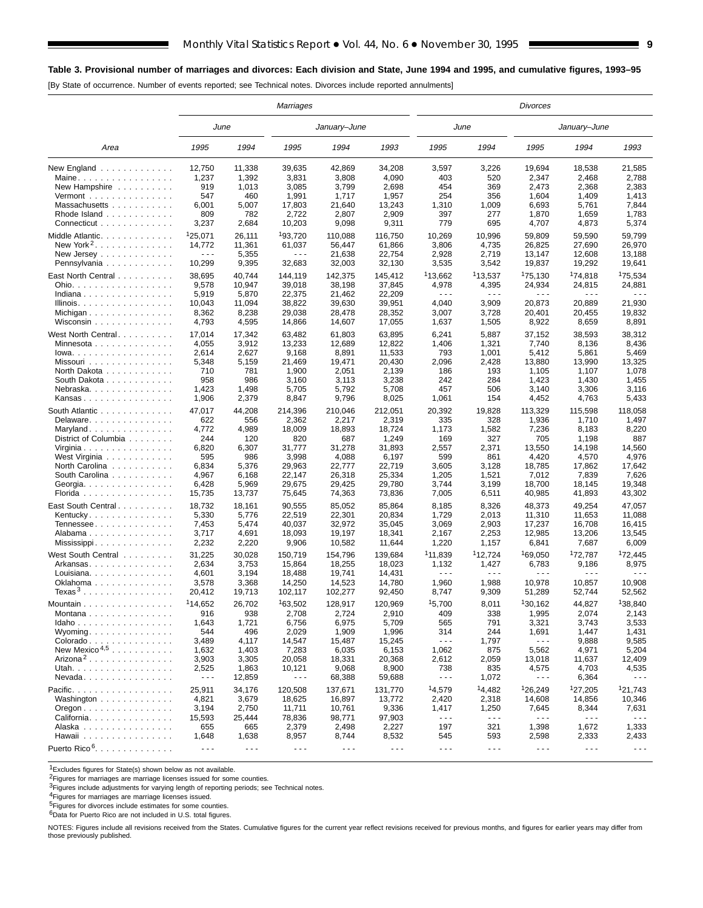## **Table 3. Provisional number of marriages and divorces: Each division and State, June 1994 and 1995, and cumulative figures, 1993–95**

[By State of occurrence. Number of events reported; see Technical notes. Divorces include reported annulments]

|                                                |                      |                      | Marriages            |                      |                      |                      |                      | <b>Divorces</b>      |                      |                      |
|------------------------------------------------|----------------------|----------------------|----------------------|----------------------|----------------------|----------------------|----------------------|----------------------|----------------------|----------------------|
|                                                | June                 |                      |                      | January-June         |                      | June                 |                      |                      | January-June         |                      |
| Area                                           | 1995                 | 1994                 | 1995                 | 1994                 | 1993                 | 1995                 | 1994                 | 1995                 | 1994                 | 1993                 |
| New England                                    | 12,750               | 11,338               | 39,635               | 42,869               | 34,208               | 3,597                | 3,226                | 19,694               | 18.538               | 21,585               |
| Maine                                          | 1,237                | 1,392                | 3,831                | 3,808                | 4,090                | 403                  | 520                  | 2,347                | 2,468                | 2,788                |
| New Hampshire                                  | 919                  | 1,013                | 3,085                | 3,799                | 2,698                | 454                  | 369                  | 2,473                | 2,368                | 2,383                |
| $Vermont$                                      | 547                  | 460                  | 1,991                | 1,717                | 1,957                | 254                  | 356                  | 1,604                | 1,409                | 1,413                |
| Massachusetts                                  | 6,001                | 5,007                | 17,803               | 21,640               | 13,243               | 1,310                | 1,009                | 6,693                | 5,761                | 7,844                |
| Rhode Island                                   | 809                  | 782                  | 2,722                | 2,807                | 2,909                | 397                  | 277                  | 1,870                | 1,659                | 1,783                |
| Connecticut                                    | 3,237                | 2,684                | 10,203               | 9,098                | 9,311                | 779                  | 695                  | 4,707                | 4,873                | 5,374                |
| Middle Atlantic                                | <sup>1</sup> 25,071  | 26,111               | 193,720              | 110,088              | 116,750              | 10,269               | 10,996               | 59,809               | 59,590               | 59,799               |
| New York <sup>2</sup> .                        | 14.772               | 11,361               | 61,037               | 56,447               | 61,866               | 3,806                | 4,735                | 26,825               | 27,690               | 26,970               |
| New Jersey $\dots$ , $\dots$ , $\dots$         | .                    | 5,355                | $\sim$ $\sim$ $\sim$ | 21,638               | 22,754               | 2,928                | 2,719                | 13,147               | 12,608               | 13,188               |
| Pennsylvania                                   | 10,299               | 9,395                | 32,683               | 32,003               | 32,130               | 3,535                | 3,542                | 19,837               | 19,292               | 19,641               |
| East North Central                             | 38,695               | 40,744               | 144,119              | 142,375              | 145,412              | <sup>1</sup> 13,662  | 113,537              | <sup>1</sup> 75,130  | <sup>1</sup> 74,818  | <sup>1</sup> 75,534  |
| Ohio.                                          | 9,578                | 10,947               | 39,018               | 38,198               | 37,845               | 4,978                | 4,395                | 24,934               | 24,815               | 24,881               |
| Indiana                                        | 5,919                | 5,870                | 22,375               | 21,462               | 22,209               | $ -$                 | $\sim$ $\sim$ $\sim$ | $\sim$ $\sim$ $\sim$ | $\sim$ $\sim$ $\sim$ | $\sim$ $\sim$ $\sim$ |
| Illinois.                                      | 10,043               | 11,094               | 38,822               | 39,630               | 39,951               | 4,040                | 3,909                | 20,873               | 20,889               | 21,930               |
|                                                | 8,362                | 8,238                | 29,038               | 28,478               | 28,352               | 3,007                | 3,728                | 20,401               | 20,455               | 19,832               |
| Wisconsin                                      | 4,793                | 4,595                | 14,866               | 14,607               | 17,055               | 1,637                | 1,505                | 8,922                | 8,659                | 8,891                |
| West North Central                             | 17,014               | 17,342               | 63,482               | 61,803               | 63,895               | 6,241                | 5,887                | 37,152               | 38,593               | 38,312               |
| Minnesota                                      | 4,055                | 3,912                | 13,233               | 12,689               | 12,822               | 1,406                | 1,321                | 7,740                | 8,136                | 8,436                |
| $lowa.$                                        | 2,614                | 2,627                | 9,168                | 8,891                | 11,533               | 793                  | 1,001                | 5,412                | 5,861                | 5,469                |
| Missouri                                       | 5,348                | 5,159                | 21,469               | 19,471               | 20,430               | 2,096                | 2,428                | 13,880               | 13,990               | 13,325               |
| North Dakota                                   | 710                  | 781                  | 1,900                | 2,051                | 2,139                | 186                  | 193                  | 1,105                | 1,107                | 1,078                |
| South Dakota                                   | 958                  | 986                  | 3,160                | 3,113                | 3,238                | 242                  | 284                  | 1,423                | 1,430                | 1,455                |
| Nebraska.                                      | 1,423                | 1,498                | 5,705                | 5,792                | 5,708                | 457                  | 506                  | 3,140                | 3,306                | 3,116                |
| Kansas                                         | 1,906                | 2,379                | 8,847                | 9,796                | 8,025                | 1,061                | 154                  | 4,452                | 4,763                | 5,433                |
| South Atlantic                                 | 47,017               | 44,208               | 214,396              | 210,046              | 212,051              | 20,392               | 19,828               | 113,329              | 115,598              | 118,058              |
| Delaware                                       | 622                  | 556                  | 2,362                | 2,217                | 2,319                | 335                  | 328                  | 1,936                | 1,710                | 1,497                |
| Maryland                                       | 4,772                | 4,989                | 18,009               | 18,893               | 18,724               | 1,173                | 1,582                | 7,236                | 8,183                | 8,220                |
| District of Columbia                           | 244                  | 120                  | 820                  | 687                  | 1,249                | 169                  | 327                  | 705                  | 1,198                | 887                  |
| Virginia                                       | 6,820                | 6,307                | 31,777               | 31,278               | 31,893               | 2,557                | 2,371                | 13,550               | 14,198               | 14,560               |
| West Virginia                                  | 595                  | 986                  | 3,998                | 4,088                | 6,197                | 599                  | 861                  | 4,420                | 4,570                | 4,976                |
| North Carolina                                 | 6,834                | 5,376                | 29,963               | 22,777               | 22,719               | 3,605                | 3,128                | 18,785               | 17,862               | 17,642               |
| South Carolina                                 | 4,967                | 6,168                | 22,147               | 26,318               | 25,334               | 1,205                | 1,521                | 7,012                | 7,839                | 7,626                |
| Georgia.                                       | 6,428                | 5,969                | 29,675               | 29,425               | 29,780               | 3,744                | 3,199                | 18,700               | 18,145               | 19,348               |
| Florida                                        | 15,735               | 13,737               | 75,645               | 74,363               | 73,836               | 7,005                | 6,511                | 40,985               | 41,893               | 43,302               |
| East South Central.                            | 18,732               | 18,161               | 90,555               | 85,052               | 85,864               | 8,185                | 8,326                | 48,373               | 49,254               | 47,057               |
| Kentucky                                       | 5,330                | 5,776                | 22,519               | 22,301               | 20,834               | 1,729                | 2,013                | 11,310               | 11,653               | 11,088               |
| Tennessee                                      | 7,453                | 5,474                | 40,037               | 32,972               | 35,045               | 3,069                | 2,903                | 17,237               | 16,708               | 16,415               |
| Alabama                                        | 3,717                | 4,691                | 18,093               | 19,197               | 18,341               | 2,167                | 2,253                | 12,985               | 13,206               | 13,545               |
|                                                | 2,232                | 2,220                | 9,906                | 10,582               | 11,644               | 1,220                | 1,157                | 6,841                | 7,687                | 6,009                |
| West South Central                             | 31,225               | 30,028               | 150,719              | 154,796              | 139,684              | <sup>1</sup> 11,839  | 112,724              | 169,050              | <sup>1</sup> 72,787  | <sup>1</sup> 72,445  |
| Arkansas                                       | 2,634                | 3,753                | 15,864               | 18,255               | 18,023               | 1,132                | 1,427                | 6,783                | 9,186                | 8,975                |
| Louisiana                                      | 4,601                | 3,194                | 18,488               | 19,741               | 14,431               | - - -                | - - -                | .                    | $\sim$ $\sim$ $\sim$ | .                    |
|                                                | 3,578                | 3,368                | 14,250               | 14,523               | 14.780               | 1,960                | 1,988                | 10,978               | 10,857               | 10,908               |
| Texas $3$                                      | 20,412               | 19,713               | 102,117              | 102,277              | 92,450               | 8,747                | 9,309                | 51,289               | 52,744               | 52,562               |
| Mountain                                       | <sup>1</sup> 14,652  | 26,702               | 163,502              | 128,917              | 120,969              | 15,700               | 8,011                | 130,162              | 44,827               | 138,840              |
| Montana                                        | 916                  | 938                  | 2,708                | 2,724                | 2,910                | 409                  | 338                  | 1,995                | 2,074                | 2,143                |
| Idaho                                          | 1,643                | 1,721                | 6,756                | 6,975                | 5,709                | 565                  | 791                  | 3,321                | 3,743                | 3,533                |
| Wyoming                                        | 544                  | 496                  | 2,029                | 1,909                | 1,996                | 314                  | 244                  | 1,691                | 1,447                | 1,431                |
| $Colorado \ldots \ldots \ldots \ldots$         | 3,489                | 4,117                | 14,547               | 15,487               | 15,245               | $\sim$ - $\sim$      | 1,797                | $- - -$              | 9,888                | 9,585                |
| New Mexico <sup>4,5</sup>                      | 1,632                | 1,403                | 7,283                | 6,035                | 6,153                | 1,062                | 875                  | 5,562                | 4,971                | 5,204                |
| Arizona <sup>2</sup>                           | 3,903                | 3,305                | 20,058               | 18,331               | 20,368               | 2,612                | 2,059                | 13,018               | 11,637               | 12,409               |
| Utah.                                          | 2,525                | 1,863                | 10,121               | 9,068                | 8,900                | 738                  | 835                  | 4,575                | 4,703                | 4,535                |
| $N$ evada                                      | $\sim$ $\sim$ $\sim$ | 12,859               | $\sim$ $\sim$ $\sim$ | 68,388               | 59,688               | $- - -$              | 1,072                | - - -                | 6,364                | - - -                |
| Pacific.                                       | 25,911               | 34,176               | 120,508              | 137,671              | 131,770              | 14,579               | 14,482               | 126,249              | <sup>1</sup> 27,205  | 121,743              |
| Washington $\ldots$ ,                          | 4,821                | 3,679                | 18,625               | 16,897               | 13,772               | 2,420                | 2,318                | 14,608               | 14,856               | 10,346               |
| $O$ regon $\ldots \ldots \ldots \ldots \ldots$ | 3,194                | 2,750                | 11,711               | 10,761               | 9,336                | 1,417                | 1,250                | 7,645                | 8,344                | 7,631                |
| California                                     | 15,593               | 25,444               | 78,836               | 98,771               | 97,903               | $\sim$ $\sim$ $\sim$ | $\sim$ $\sim$ $\sim$ | .                    | $\sim$ $\sim$ $\sim$ | $\sim$ $\sim$ $\sim$ |
| Alaska                                         | 655                  | 665                  | 2,379                | 2,498                | 2,227                | 197                  | 321                  | 1,398                | 1,672                | 1,333                |
| Hawaii                                         | 1,648                | 1,638                | 8,957                | 8,744                | 8,532                | 545                  | 593                  | 2,598                | 2,333                | 2,433                |
| Puerto Rico <sup>6</sup> .                     | $\sim$ $\sim$ $\sim$ | $\sim$ $\sim$ $\sim$ | $\sim$ $\sim$ $\sim$ | $\sim$ $\sim$ $\sim$ | $\sim$ $\sim$ $\sim$ | $\sim$ $\sim$ $\sim$ | $\sim$ $\sim$ $\sim$ | $\sim$ $\sim$ $\sim$ | $\sim$ $\sim$ $\sim$ | $\sim$ $\sim$ $\sim$ |

1Excludes figures for State(s) shown below as not available.

<sup>2</sup>Figures for marriages are marriage licenses issued for some counties.

3Figures include adjustments for varying length of reporting periods; see Technical notes.

<sup>4</sup>Figures for marriages are marriage licenses issued.<br><sup>5</sup>Figures for divorces include estimates for some counties.

6Data for Puerto Rico are not included in U.S. total figures.

NOTES: Figures include all revisions received from the States. Cumulative figures for the current year reflect revisions received for previous months, and figures for earlier years may differ from those previously published.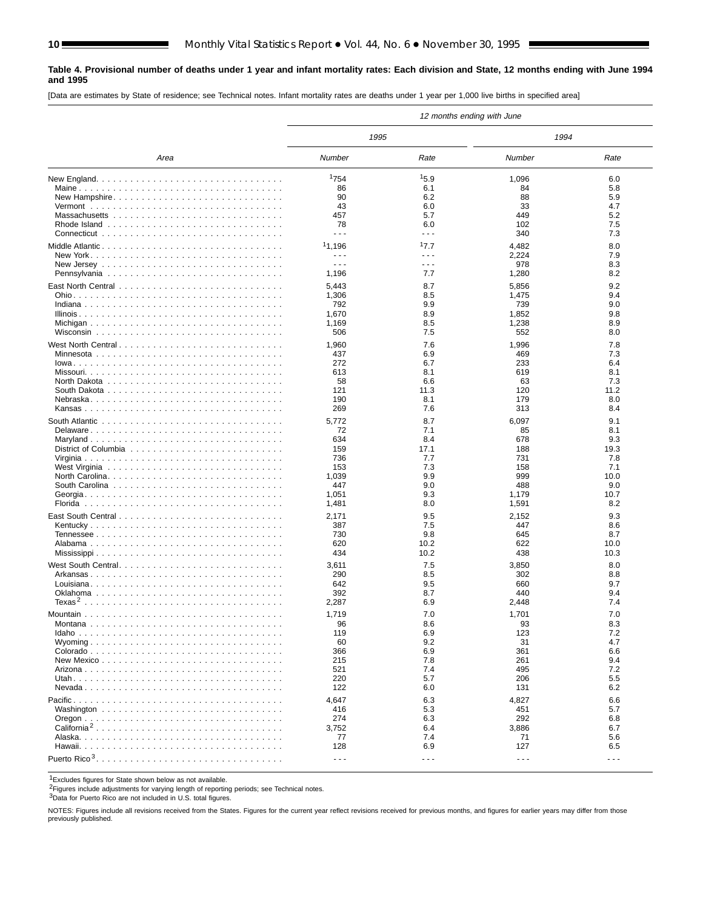#### **Table 4. Provisional number of deaths under 1 year and infant mortality rates: Each division and State, 12 months ending with June 1994 and 1995**

[Data are estimates by State of residence; see Technical notes. Infant mortality rates are deaths under 1 year per 1,000 live births in specified area]

|                         |                      |          | 12 months ending with June |                      |
|-------------------------|----------------------|----------|----------------------------|----------------------|
|                         | 1995                 |          | 1994                       |                      |
| Area                    | Number               | Rate     | Number                     | Rate                 |
|                         | <sup>1</sup> 754     | 15.9     | 1,096                      | 6.0                  |
|                         | 86                   | 6.1      | 84                         | 5.8                  |
| New Hampshire           | 90                   | 6.2      | 88                         | 5.9                  |
|                         | 43                   | 6.0      | 33                         | 4.7                  |
|                         | 457                  | 5.7      | 449                        | 5.2                  |
|                         |                      |          |                            |                      |
|                         | 78<br>- - -          | 6.0<br>. | 102                        | 7.5                  |
|                         |                      |          | 340                        | 7.3                  |
| Middle Atlantic         | <sup>1</sup> 1,196   | 17.7     | 4,482                      | 8.0                  |
|                         | $\sim$ $\sim$ $\sim$ | .        | 2,224                      | 7.9                  |
|                         | - - -                | .        | 978                        | 8.3                  |
|                         | 1,196                | 7.7      | 1,280                      | 8.2                  |
|                         |                      |          |                            |                      |
|                         | 5,443                | 8.7      | 5,856                      | 9.2                  |
|                         | 1,306                | 8.5      | 1,475                      | 9.4                  |
|                         | 792                  | 9.9      | 739                        | 9.0                  |
|                         | 1,670                | 8.9      | 1,852                      | 9.8                  |
|                         | 1,169                | 8.5      | 1,238                      | 8.9                  |
|                         | 506                  | 7.5      | 552                        | 8.0                  |
|                         |                      |          |                            |                      |
| West North Central      | 1,960                | 7.6      | 1,996                      | 7.8                  |
|                         | 437                  | 6.9      | 469                        | 7.3                  |
|                         | 272                  | 6.7      | 233                        | 6.4                  |
|                         | 613                  | 8.1      | 619                        | 8.1                  |
|                         | 58                   | 6.6      | 63                         | 7.3                  |
|                         | 121                  | 11.3     | 120                        | 11.2                 |
|                         | 190                  | 8.1      | 179                        | 8.0                  |
|                         | 269                  | 7.6      | 313                        | 8.4                  |
|                         |                      |          |                            |                      |
|                         | 5,772                | 8.7      | 6,097                      | 9.1                  |
| Delaware                | 72                   | 7.1      | 85                         | 8.1                  |
|                         | 634                  | 8.4      | 678                        | 9.3                  |
|                         | 159                  | 17.1     | 188                        | 19.3                 |
|                         | 736                  | 7.7      | 731                        | 7.8                  |
|                         | 153                  | 7.3      | 158                        | 7.1                  |
|                         | 1,039                | 9.9      | 999                        | 10.0                 |
|                         | 447                  | 9.0      | 488                        | 9.0                  |
|                         | 1,051                | 9.3      | 1,179                      | 10.7                 |
|                         | 1,481                | 8.0      | 1,591                      | 8.2                  |
|                         |                      |          |                            |                      |
|                         | 2,171                | 9.5      | 2,152                      | 9.3                  |
|                         | 387                  | 7.5      | 447                        | 8.6                  |
|                         | 730                  | 9.8      | 645                        | 8.7                  |
|                         | 620                  | 10.2     | 622                        | 10.0                 |
|                         | 434                  | 10.2     | 438                        | 10.3                 |
| West South Central      |                      | 7.5      |                            | 8.0                  |
|                         | 3,611                |          | 3,850                      |                      |
|                         | 290                  | 8.5      | 302                        | 8.8                  |
|                         | 642                  | 9.5      | 660                        | 9.7                  |
|                         | 392                  | 8.7      | 440                        | 9.4                  |
|                         | 2,287                | 6.9      | 2,448                      | 7.4                  |
|                         | 1,719                | 7.0      | 1,701                      | 7.0                  |
|                         | 96                   | 8.6      | 93                         | 8.3                  |
|                         | 119                  | 6.9      | 123                        | 7.2                  |
|                         | 60                   | 9.2      | 31                         | 4.7                  |
|                         |                      |          | 361                        | 6.6                  |
|                         | 366                  | 6.9      |                            |                      |
|                         | 215                  | 7.8      | 261                        | 9.4                  |
|                         | 521                  | 7.4      | 495                        | 7.2                  |
|                         | 220                  | 5.7      | 206                        | 5.5                  |
|                         | 122                  | 6.0      | 131                        | 6.2                  |
|                         | 4,647                | 6.3      | 4,827                      | 6.6                  |
|                         | 416                  | 5.3      | 451                        | 5.7                  |
|                         |                      |          |                            |                      |
|                         | 274                  | 6.3      | 292                        | 6.8                  |
| California <sup>2</sup> | 3,752                | 6.4      | 3,886                      | 6.7                  |
|                         | 77                   | 7.4      | 71                         | 5.6                  |
|                         | 128                  | 6.9      | 127                        | 6.5                  |
|                         | $\sim$ $\sim$ $\sim$ | $  -$    | $\sim$ $\sim$ $\sim$       | $\sim$ $\sim$ $\sim$ |

1Excludes figures for State shown below as not available.

2Figures include adjustments for varying length of reporting periods; see Technical notes.

3Data for Puerto Rico are not included in U.S. total figures.

NOTES: Figures include all revisions received from the States. Figures for the current year reflect revisions received for previous months, and figures for earlier years may differ from those previously published.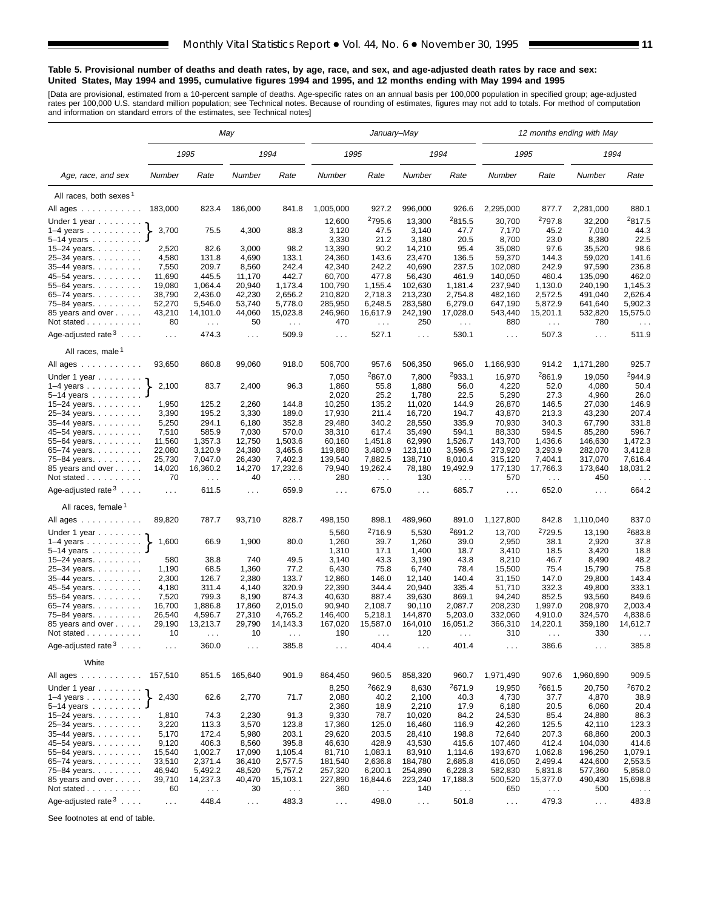#### **Table 5. Provisional number of deaths and death rates, by age, race, and sex, and age-adjusted death rates by race and sex: United States, May 1994 and 1995, cumulative figures 1994 and 1995, and 12 months ending with May 1994 and 1995**

[Data are provisional, estimated from a 10-percent sample of deaths. Age-specific rates on an annual basis per 100,000 population in specified group; age-adjusted<br>rates per 100,000 U.S. standard million population; see Tec

|                                              |                  |                               | May              |                               |                   | January-May               |                      |                            |                    |                        | 12 months ending with May   |                      |  |  |
|----------------------------------------------|------------------|-------------------------------|------------------|-------------------------------|-------------------|---------------------------|----------------------|----------------------------|--------------------|------------------------|-----------------------------|----------------------|--|--|
|                                              |                  | 1995                          |                  | 1994                          | 1995              |                           |                      | 1994                       | 1995               |                        | 1994                        |                      |  |  |
| Age, race, and sex                           | Number           | Rate                          | Number           | Rate                          | Number            | Rate                      | Number               | Rate                       | Number             | Rate                   | Number                      | Rate                 |  |  |
| All races, both sexes <sup>1</sup>           |                  |                               |                  |                               |                   |                           |                      |                            |                    |                        |                             |                      |  |  |
| All ages                                     | 183,000          | 823.4                         | 186,000          | 841.8                         | 1,005,000         | 927.2                     | 996,000              | 926.6                      | 2,295,000          | 877.7                  | 2,281,000                   | 880.1                |  |  |
| Under 1 year                                 |                  |                               |                  |                               | 12,600            | 2795.6                    | 13,300               | 2815.5                     | 30,700             | <sup>2</sup> 797.8     | 32,200                      | 2817.5               |  |  |
| $1-4$ years                                  | 3,700            | 75.5                          | 4,300            | 88.3                          | 3,120             | 47.5                      | 3,140                | 47.7                       | 7,170              | 45.2                   | 7,010                       | 44.3                 |  |  |
| 5–14 years                                   |                  |                               |                  |                               | 3,330             | 21.2                      | 3,180                | 20.5                       | 8,700              | 23.0                   | 8,380                       | 22.5                 |  |  |
| 15–24 years.                                 | 2,520            | 82.6                          | 3,000            | 98.2                          | 13,390            | 90.2                      | 14,210               | 95.4                       | 35,080             | 97.6                   | 35,520                      | 98.6                 |  |  |
| 25–34 years.                                 | 4,580            | 131.8                         | 4,690            | 133.1                         | 24,360            | 143.6                     | 23,470               | 136.5                      | 59,370             | 144.3                  | 59,020                      | 141.6                |  |  |
| 35–44 years.                                 | 7,550            | 209.7                         | 8,560            | 242.4                         | 42,340            | 242.2                     | 40,690               | 237.5                      | 102,080            | 242.9                  | 97,590                      | 236.8                |  |  |
| 45–54 years.<br>55–64 years.                 | 11,690<br>19,080 | 445.5<br>1,064.4              | 11,170<br>20,940 | 442.7<br>1,173.4              | 60,700<br>100,790 | 477.8<br>1,155.4          | 56,430<br>102,630    | 461.9<br>1,181.4           | 140,050<br>237,940 | 460.4<br>1,130.0       | 135,090<br>240,190          | 462.0<br>1,145.3     |  |  |
| 65–74 years.                                 | 38,790           | 2,436.0                       | 42,230           | 2,656.2                       | 210,820           | 2,718.3                   | 213,230              | 2,754.8                    | 482,160            | 2,572.5                | 491,040                     | 2,626.4              |  |  |
| 75–84 years.                                 | 52,270           | 5,546.0                       | 53,740           | 5,778.0                       | 285,950           | 6,248.5                   | 283,580              | 6,279.0                    | 647,190            | 5,872.9                | 641,640                     | 5,902.3              |  |  |
| 85 years and over                            | 43,210           | 14,101.0                      | 44,060           | 15,023.8                      | 246,960           | 16,617.9                  | 242,190              | 17,028.0                   | 543,440            | 15,201.1               | 532,820                     | 15,575.0             |  |  |
| Not stated                                   | 80               | $\mathcal{L}^{\mathcal{L}}$   | 50               | $\sim 100$                    | 470               | $\sim$ $\sim$             | 250                  | $\sim 100$                 | 880                | $\sim 100$             | 780                         | $\sim$ $\sim$        |  |  |
| Age-adjusted rate $3 \ldots$ .               | $\sim 100$       | 474.3                         | $\cdots$         | 509.9                         | $\cdots$          | 527.1                     | $\sim$ $\sim$ $\sim$ | 530.1                      | $\sim 100$         | 507.3                  | $\sim$ $\sim$ $\sim$        | 511.9                |  |  |
| All races, male <sup>1</sup>                 |                  |                               |                  |                               |                   |                           |                      |                            |                    |                        |                             |                      |  |  |
| All ages                                     | 93,650           | 860.8                         | 99,060           | 918.0                         | 506,700           | 957.6                     | 506,350              | 965.0                      | 1,166,930          | 914.2                  | 1,171,280                   | 925.7                |  |  |
| Under 1 year                                 |                  |                               |                  |                               | 7,050             | 2867.0                    | 7,800                | 2933.1                     | 16,970             | 2861.9                 | 19,050                      | 2944.9               |  |  |
| 1–4 years $\ldots$                           | 2,100            | 83.7                          | 2,400            | 96.3                          | 1,860             | 55.8<br>25.2              | 1,880                | 56.0                       | 4,220              | 52.0                   | 4,080                       | 50.4<br>26.0         |  |  |
| 5–14 years ........<br>15–24 years. $\ldots$ | 1,950            | 125.2                         | 2,260            | 144.8                         | 2,020<br>10,250   | 135.2                     | 1,780<br>11,020      | 22.5<br>144.9              | 5,290<br>26,870    | 27.3<br>146.5          | 4,960<br>27,030             | 146.9                |  |  |
| 25–34 years.                                 | 3,390            | 195.2                         | 3,330            | 189.0                         | 17,930            | 211.4                     | 16,720               | 194.7                      | 43,870             | 213.3                  | 43,230                      | 207.4                |  |  |
| 35–44 years.                                 | 5,250            | 294.1                         | 6,180            | 352.8                         | 29,480            | 340.2                     | 28,550               | 335.9                      | 70,930             | 340.3                  | 67,790                      | 331.8                |  |  |
| 45–54 years.                                 | 7,510            | 585.9                         | 7,030            | 570.0                         | 38,310            | 617.4                     | 35,490               | 594.1                      | 88,330             | 594.5                  | 85,280                      | 596.7                |  |  |
| 55–64 years.                                 | 11,560           | 1,357.3                       | 12,750           | 1,503.6                       | 60,160            | 1,451.8                   | 62,990               | 1,526.7                    | 143,700            | 1,436.6                | 146,630                     | 1,472.3              |  |  |
| 65–74 years.                                 | 22,080           | 3,120.9                       | 24,380           | 3,465.6                       | 119,880           | 3,480.9                   | 123,110              | 3,596.5                    | 273,920            | 3,293.9                | 282,070                     | 3,412.8              |  |  |
| 75–84 years.                                 | 25,730           | 7,047.0                       | 26,430           | 7,402.3                       | 139,540           | 7,882.5                   | 138,710              | 8,010.4                    | 315,120            | 7,404.1                | 317,070                     | 7,616.4              |  |  |
| 85 years and over<br>Not stated              | 14,020<br>70     | 16,360.2<br>$\sim$ $\sim$     | 14,270<br>40     | 17,232.6                      | 79,940<br>280     | 19,262.4<br>$\sim$ $\sim$ | 78,180<br>130        | 19,492.9<br>$\sim$         | 177,130<br>570     | 17,766.3               | 173,640<br>450              | 18,031.2<br>$\cdots$ |  |  |
| Age-adjusted rate $3 \ldots$ .               | .                | 611.5                         | $\ldots$         | $\sim$ $\sim$ $\sim$<br>659.9 | $\cdots$          | 675.0                     | $\cdots$             | 685.7                      | $\ldots$           | $\sim$ $\sim$<br>652.0 | $\sim$ .                    | 664.2                |  |  |
| All races, female <sup>1</sup>               |                  |                               |                  |                               |                   |                           |                      |                            |                    |                        |                             |                      |  |  |
| All ages                                     | 89,820           | 787.7                         | 93,710           | 828.7                         | 498,150           | 898.1                     | 489,960              | 891.0                      | 1,127,800          | 842.8                  | 1,110,040                   | 837.0                |  |  |
| Under 1 year $\ldots \ldots$                 |                  |                               |                  |                               | 5,560             | 2716.9                    | 5,530                | <sup>2</sup> 691.2         | 13,700             | <sup>2</sup> 729.5     | 13,190                      | 2683.8               |  |  |
| $1-4$ years                                  | 1,600            | 66.9                          | 1,900            | 80.0                          | 1,260             | 39.7                      | 1,260                | 39.0                       | 2,950              | 38.1                   | 2,920                       | 37.8                 |  |  |
| 5-14 years                                   |                  |                               |                  |                               | 1,310             | 17.1                      | 1,400                | 18.7                       | 3,410              | 18.5                   | 3,420                       | 18.8                 |  |  |
| 15–24 years. $\ldots$                        | 580              | 38.8                          | 740              | 49.5                          | 3,140             | 43.3                      | 3,190                | 43.8                       | 8,210              | 46.7                   | 8,490                       | 48.2                 |  |  |
| 25-34 years.<br>35-44 years.                 | 1,190<br>2,300   | 68.5<br>126.7                 | 1,360<br>2,380   | 77.2<br>133.7                 | 6,430<br>12,860   | 75.8<br>146.0             | 6,740<br>12,140      | 78.4<br>140.4              | 15,500<br>31,150   | 75.4<br>147.0          | 15,790<br>29,800            | 75.8<br>143.4        |  |  |
| 45–54 years.                                 | 4,180            | 311.4                         | 4,140            | 320.9                         | 22,390            | 344.4                     | 20,940               | 335.4                      | 51,710             | 332.3                  | 49,800                      | 333.1                |  |  |
| 55-64 years.                                 | 7,520            | 799.3                         | 8,190            | 874.3                         | 40,630            | 887.4                     | 39,630               | 869.1                      | 94,240             | 852.5                  | 93,560                      | 849.6                |  |  |
| 65-74 years.                                 | 16,700           | 1,886.8                       | 17,860           | 2,015.0                       | 90,940            | 2,108.7                   | 90,110               | 2,087.7                    | 208,230            | 1,997.0                | 208,970                     | 2,003.4              |  |  |
| 75–84 years.                                 | 26,540           | 4,596.7                       | 27,310           | 4,765.2                       | 146,400           | 5,218.1                   | 144,870              | 5,203.0                    | 332,060            | 4,910.0                | 324,570                     | 4,838.6              |  |  |
| 85 years and over                            | 29,190           | 13,213.7                      | 29,790           | 14,143.3                      | 167,020           | 15,587.0                  | 164,010              | 16,051.2                   | 366,310            | 14,220.1               | 359,180                     | 14,612.7             |  |  |
| Not stated<br>Age-adjusted rate $3 \ldots$ . | 10<br>$\sim 100$ | $\sim$<br>360.0               | 10<br>$\sim$     | $\sim$ $\sim$ $\sim$<br>385.8 | 190<br>$\sim$ .   | $\sim$ $\sim$<br>404.4    | 120<br>$\sim$ .      | $\epsilon \sim 1$<br>401.4 | 310<br>$\sim$      | $\sim$<br>386.6        | 330<br>$\sim$ $\sim$ $\sim$ | $\cdots$<br>385.8    |  |  |
| White                                        |                  |                               |                  |                               |                   |                           |                      |                            |                    |                        |                             |                      |  |  |
| All ages ...........                         | 157,510          | 851.5                         | 165,640          | 901.9                         | 864,450           | 960.5                     | 858,320              | 960.7                      | 1,971,490          | 907.6                  | 1,960,690                   | 909.5                |  |  |
| Under 1 year $\ldots \ldots$                 |                  |                               |                  |                               | 8,250             | 2662.9                    | 8,630                | 2671.9                     | 19,950             | 2661.5                 | 20,750                      | 2670.2               |  |  |
| $1-4$ years                                  | 2,430            | 62.6                          | 2,770            | 71.7                          | 2,080             | 40.2                      | 2,100                | 40.3                       | 4,730              | 37.7                   | 4,870                       | 38.9                 |  |  |
| 5–14 years<br>15–24 years. $\ldots$          | 1,810            | 74.3                          | 2,230            | 91.3                          | 2,360<br>9,330    | 18.9<br>78.7              | 2,210<br>10,020      | 17.9<br>84.2               | 6,180<br>24,530    | 20.5<br>85.4           | 6,060<br>24,880             | 20.4<br>86.3         |  |  |
| 25–34 years.                                 | 3,220            | 113.3                         | 3,570            | 123.8                         | 17,360            | 125.0                     | 16,460               | 116.9                      | 42,260             | 125.5                  | 42,110                      | 123.3                |  |  |
| 35-44 years.                                 | 5,170            | 172.4                         | 5,980            | 203.1                         | 29,620            | 203.5                     | 28,410               | 198.8                      | 72,640             | 207.3                  | 68,860                      | 200.3                |  |  |
| 45–54 years.                                 | 9,120            | 406.3                         | 8,560            | 395.8                         | 46,630            | 428.9                     | 43,530               | 415.6                      | 107,460            | 412.4                  | 104,030                     | 414.6                |  |  |
| 55–64 years.                                 | 15,540           | 1,002.7                       | 17,090           | 1,105.4                       | 81,710            | 1,083.1                   | 83,910               | 1,114.6                    | 193,670            | 1,062.8                | 196,250                     | 1,079.1              |  |  |
| 65–74 years.                                 | 33,510           | 2,371.4                       | 36,410           | 2,577.5                       | 181,540           | 2,636.8                   | 184,780              | 2,685.8                    | 416,050            | 2,499.4                | 424,600                     | 2,553.5              |  |  |
| 75-84 years.                                 | 46,940           | 5,492.2                       | 48,520           | 5,757.2                       | 257,320           | 6,200.1                   | 254,890              | 6,228.3                    | 582,830            | 5,831.8                | 577,360                     | 5,858.0              |  |  |
| 85 years and over<br>Not stated              | 39,710           | 14,237.3                      | 40,470<br>30     | 15,103.1                      | 227,890<br>360    | 16,844.6                  | 223,240<br>140       | 17,188.3                   | 500,520<br>650     | 15,377.0               | 490,430<br>500              | 15,698.8             |  |  |
|                                              | 60               | $\epsilon \rightarrow \infty$ |                  | $\sim$ $\sim$ $\sim$          |                   | $\sim$ $\sim$             |                      | $\epsilon$ .               |                    | $\sim 100$             |                             | $\sim$ $\sim$ $\sim$ |  |  |
| Age-adjusted rate $3 \ldots$ .               | $\sim$ $\sim$    | 448.4                         | $\sim$ $\sim$    | 483.3                         | $\sim$ $\sim$     | 498.0                     | $\sim$ $\sim$        | 501.8                      | $\sim 100$         | 479.3                  | $\sim 100$                  | 483.8                |  |  |

See footnotes at end of table.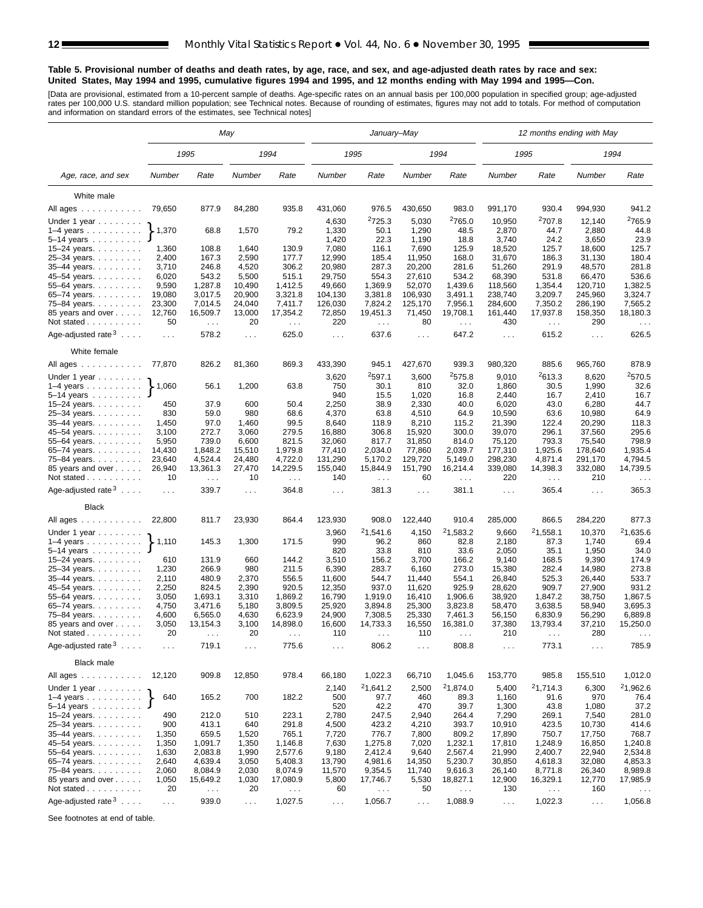#### **Table 5. Provisional number of deaths and death rates, by age, race, and sex, and age-adjusted death rates by race and sex: United States, May 1994 and 1995, cumulative figures 1994 and 1995, and 12 months ending with May 1994 and 1995—Con.**

[Data are provisional, estimated from a 10-percent sample of deaths. Age-specific rates on an annual basis per 100,000 population in specified group; age-adjusted<br>rates per 100,000 U.S. standard million population; see Tec

|                                     | May                         |                                  |                      |                                  |                  | January-May               |                      |                           | 12 months ending with May |                           |                      |                                  |  |  |
|-------------------------------------|-----------------------------|----------------------------------|----------------------|----------------------------------|------------------|---------------------------|----------------------|---------------------------|---------------------------|---------------------------|----------------------|----------------------------------|--|--|
|                                     |                             | 1995                             |                      | 1994                             |                  | 1995                      |                      | 1994                      |                           | 1995                      |                      | 1994                             |  |  |
| Age, race, and sex                  | Number                      | Rate                             | Number               | Rate                             | Number           | Rate                      | Number               | Rate                      | Number                    | Rate                      | Number               | Rate                             |  |  |
| White male                          |                             |                                  |                      |                                  |                  |                           |                      |                           |                           |                           |                      |                                  |  |  |
| All ages                            | 79,650                      | 877.9                            | 84,280               | 935.8                            | 431,060          | 976.5                     | 430,650              | 983.0                     | 991,170                   | 930.4                     | 994,930              | 941.2                            |  |  |
|                                     |                             |                                  |                      |                                  | 4,630            | 2725.3                    | 5,030                | 2765.0                    | 10,950                    | <sup>2</sup> 707.8        | 12,140               | <sup>2</sup> 765.9               |  |  |
| Under 1 year<br>$1-4$ years         | $\blacktriangleright$ 1,370 | 68.8                             | 1,570                | 79.2                             | 1,330            | 50.1                      | 1,290                | 48.5                      | 2,870                     | 44.7                      | 2,880                | 44.8                             |  |  |
| $5 - 14$ years $\ldots$             |                             |                                  |                      |                                  | 1,420            | 22.3                      | 1,190                | 18.8                      | 3,740                     | 24.2                      | 3,650                | 23.9                             |  |  |
| 15-24 years.                        | 1,360                       | 108.8                            | 1,640                | 130.9                            | 7,080            | 116.1                     | 7,690                | 125.9                     | 18,520                    | 125.7                     | 18,600               | 125.7                            |  |  |
| 25-34 years.                        | 2,400                       | 167.3                            | 2,590                | 177.7                            | 12,990           | 185.4                     | 11,950               | 168.0                     | 31,670                    | 186.3                     | 31,130               | 180.4                            |  |  |
| 35-44 years.                        | 3,710                       | 246.8                            | 4,520                | 306.2                            | 20,980           | 287.3                     | 20,200               | 281.6                     | 51,260                    | 291.9                     | 48,570               | 281.8                            |  |  |
| 45-54 years.                        | 6,020                       | 543.2                            | 5,500                | 515.1                            | 29,750           | 554.3                     | 27,610               | 534.2                     | 68,390                    | 531.8                     | 66,470               | 536.6                            |  |  |
| 55-64 years.                        | 9,590                       | 1,287.8                          | 10,490               | 1,412.5                          | 49,660           | 1,369.9                   | 52,070               | 1,439.6                   | 118,560                   | 1,354.4                   | 120,710              | 1,382.5                          |  |  |
| 65-74 years.                        | 19,080                      | 3,017.5                          | 20,900               | 3,321.8                          | 104,130          | 3,381.8                   | 106,930              | 3,491.1                   | 238,740                   | 3,209.7                   | 245,960              | 3,324.7                          |  |  |
| 75-84 years.                        | 23,300                      | 7,014.5                          | 24,040               | 7,411.7                          | 126,030          | 7,824.2                   | 125,170              | 7,956.1                   | 284,600                   | 7,350.2                   | 286,190              | 7,565.2                          |  |  |
| 85 years and over                   | 12,760                      | 16,509.7                         | 13,000               | 17,354.2                         | 72,850           | 19,451.3                  | 71,450               | 19,708.1                  | 161,440                   | 17,937.8                  | 158,350              | 18,180.3                         |  |  |
| Not stated $\ldots$                 | 50                          | $\sim$ $\sim$                    | 20                   | $\sim 100$                       | 220              | $\sim$ $\sim$             | 80                   | $\ldots$                  | 430                       | $\sim$ $\sim$             | 290                  | $\sim$ $\sim$                    |  |  |
| Age-adjusted rate $3 \ldots$ .      | $\ldots$                    | 578.2                            | $\sim$ $\sim$ $\sim$ | 625.0                            | $\sim 100$       | 637.6                     | $\sim 100$           | 647.2                     | $\sim 100$                | 615.2                     | $\sim 100$           | 626.5                            |  |  |
| White female                        |                             |                                  |                      |                                  |                  |                           |                      |                           |                           |                           |                      |                                  |  |  |
| All ages                            | 77,870                      | 826.2                            | 81,360               | 869.3                            | 433,390          | 945.1                     | 427,670              | 939.3                     | 980,320                   | 885.6                     | 965,760              | 878.9                            |  |  |
| Under 1 year                        |                             |                                  |                      |                                  | 3,620            | <sup>2</sup> 597.1        | 3,600                | 2575.8                    | 9,010                     | <sup>2</sup> 613.3        | 8,620                | 2570.5                           |  |  |
| $1-4$ years                         | $\blacktriangleright$ 1,060 | 56.1                             | 1,200                | 63.8                             | 750              | 30.1                      | 810                  | 32.0                      | 1,860                     | 30.5                      | 1,990                | 32.6                             |  |  |
| $5 - 14$ years                      |                             |                                  |                      |                                  | 940              | 15.5                      | 1,020                | 16.8                      | 2,440                     | 16.7                      | 2,410                | 16.7                             |  |  |
| 15-24 years.                        | 450                         | 37.9                             | 600                  | 50.4                             | 2,250            | 38.9                      | 2,330                | 40.0                      | 6,020                     | 43.0                      | 6,280                | 44.7                             |  |  |
| 25-34 years.                        | 830                         | 59.0                             | 980                  | 68.6                             | 4,370            | 63.8                      | 4,510                | 64.9                      | 10,590                    | 63.6                      | 10,980               | 64.9                             |  |  |
| $35-44$ years.                      | 1,450                       | 97.0                             | 1,460                | 99.5                             | 8,640            | 118.9                     | 8,210                | 115.2                     | 21,390                    | 122.4                     | 20,290               | 118.3<br>295.6                   |  |  |
| 45–54 years.<br>55-64 years.        | 3,100<br>5,950              | 272.7<br>739.0                   | 3,060<br>6,600       | 279.5<br>821.5                   | 16,880<br>32,060 | 306.8<br>817.7            | 15,920<br>31,850     | 300.0<br>814.0            | 39,070<br>75,120          | 296.1<br>793.3            | 37,560<br>75,540     | 798.9                            |  |  |
| 65-74 years.                        | 14,430                      | 1,848.2                          | 15,510               | 1,979.8                          | 77,410           | 2,034.0                   | 77,860               | 2,039.7                   | 177,310                   | 1,925.6                   | 178,640              | 1,935.4                          |  |  |
| 75–84 years.                        | 23,640                      | 4,524.4                          | 24,480               | 4,722.0                          | 131,290          | 5,170.2                   | 129,720              | 5,149.0                   | 298,230                   | 4,871.4                   | 291,170              | 4,794.5                          |  |  |
| 85 years and over<br>Not stated     | 26,940<br>10                | 13,361.3<br>$\sim$ $\sim$ $\sim$ | 27,470<br>10         | 14,229.5<br>$\sim$ $\sim$ $\sim$ | 155,040<br>140   | 15,844.9<br>$\sim$ $\sim$ | 151,790<br>60        | 16,214.4<br>$\sim$ $\sim$ | 339,080<br>220            | 14,398.3<br>$\sim$ $\sim$ | 332,080<br>210       | 14,739.5<br>$\sim$ $\sim$ $\sim$ |  |  |
| Age-adjusted rate $3 \ldots$ .      | $\sim$ $\sim$ $\sim$        | 339.7                            | $\sim$ $\sim$ $\sim$ | 364.8                            | $\sim 10$ .      | 381.3                     | $\cdots$             | 381.1                     | $\sim 100$                | 365.4                     | $\cdots$             | 365.3                            |  |  |
| <b>Black</b>                        |                             |                                  |                      |                                  |                  |                           |                      |                           |                           |                           |                      |                                  |  |  |
| All ages                            | 22,800                      | 811.7                            | 23,930               | 864.4                            | 123,930          | 908.0                     | 122,440              | 910.4                     | 285,000                   | 866.5                     | 284,220              | 877.3                            |  |  |
|                                     |                             |                                  |                      |                                  |                  |                           |                      |                           |                           |                           |                      |                                  |  |  |
| Under 1 year                        |                             |                                  |                      |                                  | 3,960            | 21,541.6                  | 4,150                | <sup>2</sup> 1,583.2      | 9,660                     | <sup>2</sup> 1,558.1      | 10,370               | 21,635.6                         |  |  |
| $1-4$ years                         | $\blacktriangleright$ 1,110 | 145.3                            | 1,300                | 171.5                            | 990              | 96.2                      | 860                  | 82.8                      | 2,180                     | 87.3                      | 1,740                | 69.4                             |  |  |
| $5-14$ years                        |                             |                                  |                      |                                  | 820              | 33.8                      | 810                  | 33.6                      | 2,050                     | 35.1                      | 1,950                | 34.0                             |  |  |
| $15 - 24$ years.                    | 610                         | 131.9                            | 660<br>980           | 144.2                            | 3,510            | 156.2                     | 3,700                | 166.2                     | 9,140                     | 168.5                     | 9,390                | 174.9<br>273.8                   |  |  |
| 25-34 years.<br>35-44 years.        | 1,230<br>2,110              | 266.9<br>480.9                   | 2,370                | 211.5<br>556.5                   | 6,390<br>11,600  | 283.7<br>544.7            | 6,160<br>11,440      | 273.0<br>554.1            | 15,380<br>26,840          | 282.4<br>525.3            | 14,980<br>26,440     | 533.7                            |  |  |
| 45-54 years.                        | 2,250                       | 824.5                            | 2,390                | 920.5                            | 12,350           | 937.0                     | 11,620               | 925.9                     | 28,620                    | 909.7                     | 27,900               | 931.2                            |  |  |
| 55-64 years.                        | 3,050                       | 1,693.1                          | 3,310                | 1,869.2                          | 16,790           | 1,919.0                   | 16,410               | 1,906.6                   | 38,920                    | 1,847.2                   | 38,750               | 1,867.5                          |  |  |
| 65-74 years.                        | 4,750                       | 3,471.6                          | 5,180                | 3,809.5                          | 25,920           | 3,894.8                   | 25,300               | 3,823.8                   | 58,470                    | 3,638.5                   | 58,940               | 3,695.3                          |  |  |
| 75-84 years.                        | 4,600                       | 6,565.0                          | 4,630                | 6,623.9                          | 24,900           | 7,308.5                   | 25,330               | 7,461.3                   | 56,150                    | 6,830.9                   | 56,290               | 6,889.8                          |  |  |
| 85 years and over                   | 3,050                       | 13,154.3                         | 3,100                | 14,898.0                         | 16,600           | 14,733.3                  | 16,550               | 16,381.0                  | 37,380                    | 13,793.4                  | 37,210               | 15,250.0                         |  |  |
| Not stated                          | 20                          |                                  | 20                   |                                  | 110              |                           | 110                  |                           | 210                       |                           | 280                  | $\cdots$                         |  |  |
| Age-adjusted rate $3 \ldots$ .      | $\sim 100$                  | 719.1                            | $\sim$               | 775.6                            | $\sim$ $\sim$    | 806.2                     | $\sim$ $\sim$ $\sim$ | 808.8                     | $\sim$ $\sim$ $\sim$      | 773.1                     | $\sim$ $\sim$ $\sim$ | 785.9                            |  |  |
| <b>Black male</b>                   |                             |                                  |                      |                                  |                  |                           |                      |                           |                           |                           |                      |                                  |  |  |
| All ages                            | 12,120                      | 909.8                            | 12,850               | 978.4                            | 66,180           | 1,022.3                   | 66,710               | 1,045.6                   | 153,770                   | 985.8                     | 155,510              | 1,012.0                          |  |  |
| Under 1 year                        |                             |                                  |                      |                                  | 2,140            | <sup>2</sup> 1,641.2      | 2,500                | 21,874.0                  | 5,400                     | 21,714.3                  | 6,300                | 21,962.6                         |  |  |
| $1-4$ years                         | 640                         | 165.2                            | 700                  | 182.2                            | 500<br>520       | 97.7<br>42.2              | 460                  | 89.3<br>39.7              | 1,160                     | 91.6                      | 970                  | 76.4                             |  |  |
| 5-14 years<br>15–24 years. $\ldots$ | 490                         | 212.0                            | 510                  | 223.1                            | 2,780            | 247.5                     | 470<br>2,940         | 264.4                     | 1,300<br>7,290            | 43.8<br>269.1             | 1,080<br>7,540       | 37.2<br>281.0                    |  |  |
| 25-34 years.                        | 900                         | 413.1                            | 640                  | 291.8                            | 4,500            | 423.2                     | 4,210                | 393.7                     | 10,910                    | 423.5                     | 10,730               | 414.6                            |  |  |
| 35-44 years.                        | 1,350                       | 659.5                            | 1,520                | 765.1                            | 7,720            | 776.7                     | 7,800                | 809.2                     | 17,890                    | 750.7                     | 17,750               | 768.7                            |  |  |
| 45-54 years.                        | 1,350                       | 1,091.7                          | 1,350                | 1,146.8                          | 7,630            | 1,275.8                   | 7,020                | 1,232.1                   | 17,810                    | 1,248.9                   | 16,850               | 1,240.8                          |  |  |
| 55-64 years.                        | 1,630                       | 2,083.8                          | 1,990                | 2,577.6                          | 9,180            | 2,412.4                   | 9,640                | 2,567.4                   | 21,990                    | 2,400.7                   | 22,940               | 2,534.8                          |  |  |
| 65-74 years.                        | 2,640                       | 4,639.4                          | 3,050                | 5,408.3                          | 13,790           | 4,981.6                   | 14,350               | 5,230.7                   | 30,850                    | 4,618.3                   | 32,080               | 4,853.3                          |  |  |
| 75-84 years.                        | 2,060                       | 8,084.9                          | 2,030                | 8,074.9                          | 11,570           | 9,354.5                   | 11,740               | 9,616.3                   | 26,140                    | 8,771.8                   | 26,340               | 8,989.8                          |  |  |
| 85 years and over                   | 1,050                       | 15,649.2                         | 1,030                | 17,080.9                         | 5,800            | 17,746.7                  | 5,530                | 18,827.1                  | 12,900                    | 16,329.1                  | 12,770               | 17,985.9                         |  |  |
| Not stated                          | 20                          | $\sim$ $\sim$ $\sim$             | 20                   | $\sim$ $\sim$                    | 60               | $\sim$ $\sim$ $\sim$      | 50                   | $\sim$ $\sim$             | 130                       | $\sim$ $\sim$             | 160                  |                                  |  |  |
| Age-adjusted rate $3 \ldots$ .      | $\cdots$                    | 939.0                            | $\sim$ $\sim$        | 1,027.5                          | $\sim$ $\sim$    | 1,056.7                   | $\sim$ $\sim$        | 1,088.9                   | $\sim$ $\sim$             | 1,022.3                   | $\sim$ $\sim$        | 1,056.8                          |  |  |

See footnotes at end of table.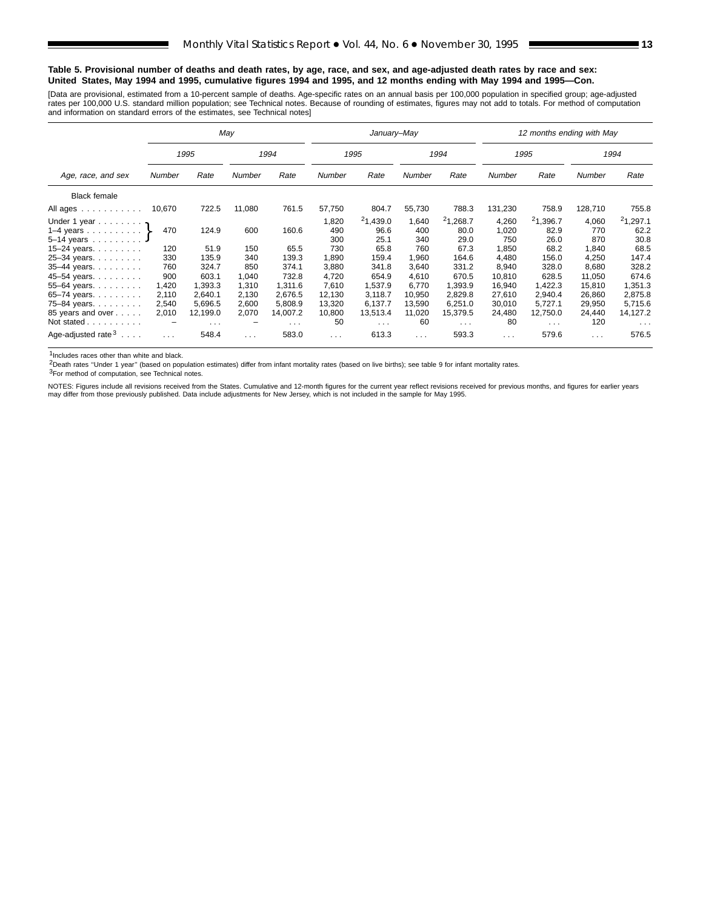#### **Table 5. Provisional number of deaths and death rates, by age, race, and sex, and age-adjusted death rates by race and sex: United States, May 1994 and 1995, cumulative figures 1994 and 1995, and 12 months ending with May 1994 and 1995—Con.**

[Data are provisional, estimated from a 10-percent sample of deaths. Age-specific rates on an annual basis per 100,000 population in specified group; age-adjusted<br>rates per 100,000 U.S. standard million population; see Tec

|                                                          |          | May                  |               |                         |                     | January-May              |                     |                          |                       | 12 months ending with May |                     |                          |
|----------------------------------------------------------|----------|----------------------|---------------|-------------------------|---------------------|--------------------------|---------------------|--------------------------|-----------------------|---------------------------|---------------------|--------------------------|
|                                                          |          | 1995                 |               | 1994                    |                     | 1995                     |                     | 1994                     |                       | 1995                      |                     | 1994                     |
| Age, race, and sex                                       | Number   | Rate                 | <b>Number</b> | Rate                    | <b>Number</b>       | Rate                     | <b>Number</b>       | Rate                     | Number                | Rate                      | <b>Number</b>       | Rate                     |
| <b>Black female</b>                                      |          |                      |               |                         |                     |                          |                     |                          |                       |                           |                     |                          |
| All ages                                                 | 10,670   | 722.5                | 11,080        | 761.5                   | 57,750              | 804.7                    | 55,730              | 788.3                    | 131,230               | 758.9                     | 128,710             | 755.8                    |
| Under 1 year $\cdot$<br>1–4 years $\}$<br>$5 - 14$ years | 470      | 124.9                | 600           | 160.6                   | 1,820<br>490<br>300 | 21,439.0<br>96.6<br>25.1 | 1,640<br>400<br>340 | 21,268.7<br>80.0<br>29.0 | 4,260<br>1,020<br>750 | 21,396.7<br>82.9<br>26.0  | 4,060<br>770<br>870 | 21,297.1<br>62.2<br>30.8 |
| 15–24 years. $\ldots$                                    | 120      | 51.9                 | 150           | 65.5                    | 730                 | 65.8                     | 760                 | 67.3                     | 1,850                 | 68.2                      | 1,840               | 68.5                     |
| 25-34 years.                                             | 330      | 135.9                | 340           | 139.3                   | 1,890               | 159.4                    | 1,960               | 164.6                    | 4,480                 | 156.0                     | 4,250               | 147.4                    |
| 35-44 years.                                             | 760      | 324.7                | 850           | 374.1                   | 3,880               | 341.8                    | 3.640               | 331.2                    | 8,940                 | 328.0                     | 8,680               | 328.2                    |
| 45-54 years.                                             | 900      | 603.1                | 1,040         | 732.8                   | 4,720               | 654.9                    | 4,610               | 670.5                    | 10,810                | 628.5                     | 11,050              | 674.6                    |
| 55-64 years.                                             | 1,420    | 1,393.3              | 1,310         | 1.311.6                 | 7,610               | 1,537.9                  | 6,770               | 1,393.9                  | 16,940                | 1,422.3                   | 15,810              | 1,351.3                  |
| 65–74 years. $\ldots$                                    | 2,110    | 2.640.1              | 2,130         | 2,676.5                 | 12.130              | 3,118.7                  | 10,950              | 2,829.8                  | 27,610                | 2.940.4                   | 26,860              | 2,875.8                  |
| 75-84 years.                                             | 2,540    | 5.696.5              | 2,600         | 5.808.9                 | 13,320              | 6.137.7                  | 13,590              | 6,251.0                  | 30,010                | 5.727.1                   | 29,950              | 5,715.6                  |
| 85 years and over                                        | 2,010    | 12,199.0             | 2,070         | 14,007.2                | 10,800              | 13,513.4                 | 11,020              | 15,379.5                 | 24,480                | 12,750.0                  | 24,440              | 14,127.2                 |
| Not stated                                               |          | $\sim$ $\sim$ $\sim$ |               | $\sim 100$ km s $^{-1}$ | 50                  | $\sim 100$               | 60                  | $\sim 100$ km s $^{-1}$  | 80                    | $\sim 100$ km s $^{-1}$   | 120                 | $\sim$ $\sim$ $\sim$     |
| Age-adjusted rate $3 \ldots$ .                           | $\cdots$ | 548.4                | $\cdots$      | 583.0                   | $\cdots$            | 613.3                    | $\cdots$            | 593.3                    | $\cdots$              | 579.6                     | $\cdots$            | 576.5                    |

1Includes races other than white and black.

2Death rates ''Under 1 year'' (based on population estimates) differ from infant mortality rates (based on live births); see table 9 for infant mortality rates.

3For method of computation, see Technical notes.

NOTES: Figures include all revisions received from the States. Cumulative and 12-month figures for the current year reflect revisions received for previous months, and figures for earlier years may differ from those previously published. Data include adjustments for New Jersey, which is not included in the sample for May 1995.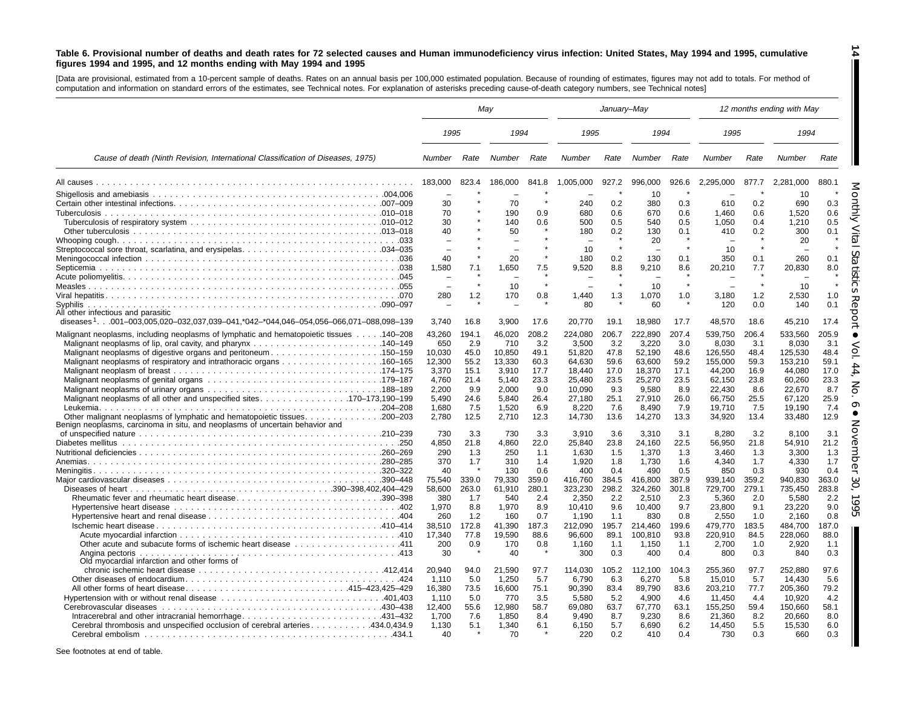#### Table 6. Provisional number of deaths and death rates for 72 selected causes and Human immunodeficiency virus infection: United States, May 1994 and 1995, cumulative figures 1994 and 1995, and 12 months ending with May 1994 and 1995

**14**

H

[Data are provisional, estimated from <sup>a</sup> 10-percent sample of deaths. Rates on an annual basis per 100,000 estimated population. Because of rounding of estimates, figures may not add to totals. For method of computation and information on standard errors of the estimates, see Technical notes. For explanation of asterisks preceding cause-of-death category numbers, see Technical notes]

|                                                                                                                                                                  | May             |              |               |              |                  | January-May  |                  |              |                   |              | 12 months ending with May |              |
|------------------------------------------------------------------------------------------------------------------------------------------------------------------|-----------------|--------------|---------------|--------------|------------------|--------------|------------------|--------------|-------------------|--------------|---------------------------|--------------|
|                                                                                                                                                                  | 1995            |              | 1994          |              | 1995             |              | 1994             |              | 1995              |              | 1994                      |              |
| Cause of death (Ninth Revision, International Classification of Diseases, 1975)                                                                                  | Number          | Rate         | Number        | Rate         | Number           | Rate         | Number           | Rate         | Number            | Rate         | Number                    | Rate         |
|                                                                                                                                                                  | 183.000         | 823.4        | 186.000       | 841.8        | 1.005.000        | 927.2        | 996.000          | 926.6        | 2.295.000         | 877.7        | 2.281.000                 | 880.1        |
|                                                                                                                                                                  |                 |              |               |              |                  |              | 10               |              |                   |              | 10                        |              |
|                                                                                                                                                                  | 30              |              | 70            |              | 240              | 0.2          | 380              | 0.3          | 610               | 0.2          | 690                       | 0.3          |
|                                                                                                                                                                  | 70              |              | 190           | 0.9          | 680              | 0.6          | 670              | 0.6          | 1,460             | 0.6          | 1,520                     | 0.6          |
|                                                                                                                                                                  | 30              |              | 140           | 0.6          | 500              | 0.5          | 540              | 0.5          | 1,050             | 0.4          | 1,210                     | 0.5          |
|                                                                                                                                                                  | 40              |              | 50            |              | 180              | 0.2          | 130<br>20        | 0.1          | 410               | 0.2          | 300<br>20                 | 0.1          |
|                                                                                                                                                                  |                 |              |               |              | 10               | $\star$      |                  |              | 10                |              |                           |              |
|                                                                                                                                                                  | 40              |              | 20            |              | 180              | 0.2          | 130              | 0.1          | 350               | 0.1          | 260                       | 0.1          |
|                                                                                                                                                                  | 1.580           | 7.1          | 1,650         | 7.5          | 9,520            | 8.8          | 9,210            | 8.6          | 20,210            | 7.7          | 20,830                    | 8.0          |
|                                                                                                                                                                  |                 |              |               |              |                  |              |                  |              |                   |              |                           |              |
|                                                                                                                                                                  |                 |              | 10            |              |                  | $\star$      | 10               | $\star$      |                   | $\star$      | 10                        |              |
|                                                                                                                                                                  | 280             | 1.2          | 170           | 0.8          | 1,440            | 1.3          | 1,070            | 1.0          | 3,180             | 1.2          | 2,530                     | 1.0          |
|                                                                                                                                                                  |                 |              |               |              | 80               |              | 60               |              | 120               | 0.0          | 140                       | 0.1          |
| All other infectious and parasitic<br>diseases <sup>1</sup> 001-003.005.020-032.037.039-041.*042-*044.046-054.056-066.071-088.098-139                            | 3.740           | 16.8         | 3.900         | 17.6         | 20.770           | 19.1         | 18,980           | 17.7         | 48.570            | 18.6         | 45.210                    | 17.4         |
|                                                                                                                                                                  |                 |              |               |              |                  |              |                  |              |                   |              |                           |              |
| Malignant neoplasms, including neoplasms of lymphatic and hematopoietic tissues 140-208                                                                          | 43,260<br>650   | 194.1<br>2.9 | 46,020<br>710 | 208.2<br>3.2 | 224,080<br>3.500 | 206.7<br>3.2 | 222,890<br>3,220 | 207.4<br>3.0 | 539,750<br>8,030  | 206.4<br>3.1 | 533,560<br>8,030          | 205.9<br>3.1 |
|                                                                                                                                                                  | 10,030          | 45.0         | 10,850        | 49.1         | 51,820           | 47.8         | 52,190           | 48.6         | 126,550           | 48.4         | 125,530                   | 48.4         |
|                                                                                                                                                                  | 12,300          | 55.2         | 13,330        | 60.3         | 64.630           | 59.6         | 63,600           | 59.2         | 155,000           | 59.3         | 153,210                   | 59.1         |
|                                                                                                                                                                  | 3,370           | 15.1         | 3,910         | 17.7         | 18,440           | 17.0         | 18,370           | 17.1         | 44,200            | 16.9         | 44,080                    | 17.0         |
|                                                                                                                                                                  | 4,760           | 21.4         | 5,140         | 23.3         | 25.480           | 23.5         | 25,270           | 23.5         | 62,150            | 23.8         | 60,260                    | 23.3         |
|                                                                                                                                                                  | 2,200           | 9.9          | 2,000         | 9.0          | 10,090           | 9.3          | 9,580            | 8.9          | 22,430            | 8.6          | 22,670                    | 8.7          |
|                                                                                                                                                                  | 5.490           | 24.6         | 5.840         | 26.4         | 27,180           | 25.1         | 27,910           | 26.0         | 66,750            | 25.5         | 67,120                    | 25.9         |
|                                                                                                                                                                  | 1.680           | 7.5          | 1,520         | 6.9          | 8,220            | 7.6          | 8,490            | 7.9          | 19,710            | 7.5          | 19,190                    | 7.4          |
| Other malignant neoplasms of lymphatic and hematopoietic tissues<br>$.200 - 203$<br>Benign neoplasms, carcinoma in situ, and neoplasms of uncertain behavior and | 2.780           | 12.5         | 2,710         | 12.3         | 14,730           | 13.6         | 14,270           | 13.3         | 34,920            | 13.4         | 33,480                    | 12.9         |
|                                                                                                                                                                  | 730             | 3.3          | 730           | 3.3          | 3.910            | 3.6          | 3.310            | 3.1          | 8.280             | 3.2          | 8.100                     | 3.1          |
|                                                                                                                                                                  | 4.850           | 21.8         | 4,860         | 22.0         | 25,840           | 23.8         | 24,160           | 22.5         | 56,950            | 21.8         | 54,910                    | 21.2         |
|                                                                                                                                                                  | 290             | 1.3          | 250           | 1.1          | 1.630            | 1.5          | 1,370            | 1.3          | 3.460             | 1.3          | 3,300                     | 1.3          |
|                                                                                                                                                                  | 370             | 1.7          | 310           | 1.4          | 1,920            | 1.8          | 1,730            | 1.6          | 4.340             | 1.7          | 4.330                     | 1.7          |
|                                                                                                                                                                  | 40              |              | 130           | 0.6          | 400              | 0.4          | 490              | 0.5          | 850               | 0.3          | 930                       | 0.4          |
|                                                                                                                                                                  | 75,540          | 339.0        | 79,330        | 359.0        | 416,760          | 384.5        | 416,800          | 387.9        | 939,140           | 359.2        | 940,830                   | 363.0        |
|                                                                                                                                                                  | 58.600          | 263.0        | 61,910        | 280.1        | 323.230          | 298.2        | 324.260          | 301.8        | 729,700           | 279.1        | 735.450                   | 283.8        |
| Rheumatic fever and rheumatic heart disease390-398                                                                                                               | 380<br>1.970    | 1.7<br>8.8   | 540<br>1,970  | 2.4<br>8.9   | 2,350<br>10,410  | 2.2<br>9.6   | 2,510<br>10.400  | 2.3<br>9.7   | 5,360<br>23,800   | 2.0<br>9.1   | 5,580<br>23,220           | 2.2<br>9.0   |
|                                                                                                                                                                  | 260             | 1.2          | 160           | 0.7          | 1.190            | 1.1          | 830              | 0.8          | 2.550             | 1.0          | 2.160                     | 0.8          |
|                                                                                                                                                                  | 38,510          | 172.8        | 41,390        | 187.3        | 212,090          | 195.7        | 214,460          | 199.6        | 479,770           | 183.5        | 484,700                   | 187.0        |
|                                                                                                                                                                  | 17,340          | 77.8         | 19,590        | 88.6         | 96,600           | 89.1         | 100,810          | 93.8         | 220,910           | 84.5         | 228,060                   | 88.0         |
|                                                                                                                                                                  | 200             | 0.9          | 170           | 0.8          | 1,160            | 1.1          | 1,150            | 1.1          | 2,700             | 1.0          | 2,920                     | 1.1          |
|                                                                                                                                                                  | 30              |              | 40            |              | 300              | 0.3          | 400              | 0.4          | 800               | 0.3          | 840                       | 0.3          |
| Old myocardial infarction and other forms of                                                                                                                     |                 |              |               |              |                  |              |                  |              |                   |              |                           |              |
|                                                                                                                                                                  | 20,940          | 94.0         | 21,590        | 97.7         | 114,030          | 105.2        | 112,100          | 104.3        | 255,360           | 97.7         | 252,880                   | 97.6         |
|                                                                                                                                                                  | 1,110           | 5.0          | 1,250         | 5.7          | 6,790            | 6.3          | 6,270            | 5.8          | 15,010            | 5.7          | 14,430                    | 5.6          |
| All other forms of heart disease415-423,425-429                                                                                                                  | 16,380<br>1,110 | 73.5<br>5.0  | 16,600<br>770 | 75.1<br>3.5  | 90,390<br>5,580  | 83.4<br>5.2  | 89,790<br>4,900  | 83.6<br>4.6  | 203,210<br>11,450 | 77.7<br>4.4  | 205,360<br>10,920         | 79.2<br>4.2  |
|                                                                                                                                                                  | 12,400          | 55.6         | 12,980        | 58.7         | 69,080           | 63.7         | 67,770           | 63.1         | 155,250           | 59.4         | 150,660                   | 58.1         |
|                                                                                                                                                                  | 1,700           | 7.6          | 1,850         | 8.4          | 9,490            | 8.7          | 9,230            | 8.6          | 21,360            | 8.2          | 20,660                    | 8.0          |
| Cerebral thrombosis and unspecified occlusion of cerebral arteries 434.0,434.9                                                                                   |                 |              |               |              |                  |              |                  |              |                   |              |                           |              |
|                                                                                                                                                                  | 1,130           | 5.1          | 1,340         | 6.1          | 6,150            | 5.7          | 6,690            | 6.2          | 14,450            | 5.5          | 15,530                    | 6.0          |

See footnotes at end of table.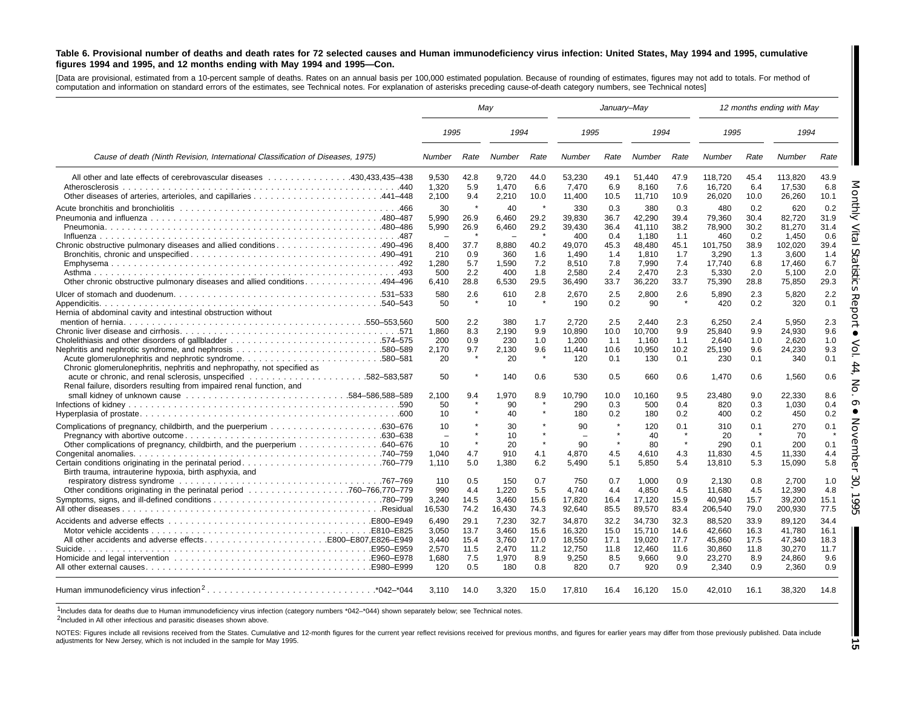#### Table 6. Provisional number of deaths and death rates for 72 selected causes and Human immunodeficiency virus infection: United States, May 1994 and 1995, cumulative figures 1994 and 1995, and 12 months ending with May 1994 and 1995-Con.

[Data are provisional, estimated from <sup>a</sup> 10-percent sample of deaths. Rates on an annual basis per 100,000 estimated population. Because of rounding of estimates, figures may not add to totals. For method of computation and information on standard errors of the estimates, see Technical notes. For explanation of asterisks preceding cause-of-death category numbers, see Technical notes]

|                                                                                                                                   | May                                           |                                 |                                         |                                            | January-May                                   |                                    |                                            |                                    |                                           |                                    | 12 months ending with May                   |                                    |
|-----------------------------------------------------------------------------------------------------------------------------------|-----------------------------------------------|---------------------------------|-----------------------------------------|--------------------------------------------|-----------------------------------------------|------------------------------------|--------------------------------------------|------------------------------------|-------------------------------------------|------------------------------------|---------------------------------------------|------------------------------------|
|                                                                                                                                   | 1995                                          |                                 | 1994                                    |                                            | 1995                                          |                                    | 1994                                       |                                    | 1995                                      |                                    | 1994                                        |                                    |
| Cause of death (Ninth Revision, International Classification of Diseases, 1975)                                                   | <b>Number</b>                                 | Rate                            | Number                                  | Rate                                       | Number                                        | Rate                               | Number                                     | Rate                               | Number                                    | Rate                               | Number                                      | Rate                               |
| All other and late effects of cerebrovascular diseases 430,433,435–438                                                            | 9,530<br>1.320<br>2,100                       | 42.8<br>5.9<br>9.4              | 9,720<br>1,470<br>2,210                 | 44.0<br>6.6<br>10.0                        | 53,230<br>7,470<br>11,400                     | 49.1<br>6.9<br>10.5                | 51,440<br>8.160<br>11,710                  | 47.9<br>7.6<br>10.9                | 118,720<br>16,720<br>26,020               | 45.4<br>6.4<br>10.0                | 113,820<br>17.530<br>26,260                 | 43.9<br>6.8<br>10.1                |
| Chronic obstructive pulmonary diseases and allied conditions 490–496                                                              | 30<br>5.990<br>5,990<br>$\sim$<br>8.400       | 26.9<br>26.9<br>$\star$<br>37.7 | 40<br>6,460<br>6,460<br>$\sim$<br>8.880 | $\star$<br>29.2<br>29.2<br>$\star$<br>40.2 | 330<br>39.830<br>39,430<br>400<br>49.070      | 0.3<br>36.7<br>36.4<br>0.4<br>45.3 | 380<br>42,290<br>41,110<br>1,180<br>48.480 | 0.3<br>39.4<br>38.2<br>1.1<br>45.1 | 480<br>79.360<br>78,900<br>460<br>101,750 | 0.2<br>30.4<br>30.2<br>0.2<br>38.9 | 620<br>82.720<br>81,270<br>1.450<br>102.020 | 0.2<br>31.9<br>31.4<br>0.6<br>39.4 |
| Other chronic obstructive pulmonary diseases and allied conditions 494–496                                                        | 210<br>1,280<br>500<br>6,410                  | 0.9<br>5.7<br>2.2<br>28.8       | 360<br>1,590<br>400<br>6,530            | 1.6<br>7.2<br>1.8<br>29.5                  | 1.490<br>8,510<br>2.580<br>36,490             | 1.4<br>7.8<br>2.4<br>33.7          | 1,810<br>7,990<br>2.470<br>36,220          | 1.7<br>7.4<br>2.3<br>33.7          | 3,290<br>17,740<br>5.330<br>75,390        | 1.3<br>6.8<br>2.0<br>28.8          | 3.600<br>17.460<br>5.100<br>75,850          | 1.4<br>6.7<br>2.0<br>29.3          |
| Hernia of abdominal cavity and intestinal obstruction without                                                                     | 580<br>50                                     | 2.6<br>$\star$                  | 610<br>10                               | 2.8<br>$\star$                             | 2,670<br>190                                  | 2.5<br>0.2                         | 2,800<br>90                                | 2.6<br>$\star$                     | 5,890<br>420                              | 2.3<br>0.2                         | 5,820<br>320                                | 2.2<br>0.1                         |
| Acute glomerulonephritis and nephrotic syndrome580–581<br>Chronic glomerulonephritis, nephritis and nephropathy, not specified as | 500<br>1.860<br>200<br>2,170<br>20            | 2.2<br>8.3<br>0.9<br>9.7        | 380<br>2.190<br>230<br>2.130<br>20      | 1.7<br>9.9<br>1.0<br>9.6                   | 2,720<br>10.890<br>1,200<br>11.440<br>120     | 2.5<br>10.0<br>1.1<br>10.6<br>0.1  | 2,440<br>10.700<br>1.160<br>10.950<br>130  | 2.3<br>9.9<br>1.1<br>10.2<br>0.1   | 6,250<br>25.840<br>2,640<br>25.190<br>230 | 2.4<br>9.9<br>1.0<br>9.6<br>0.1    | 5,950<br>24.930<br>2.620<br>24.230<br>340   | 2.3<br>9.6<br>1.0<br>9.3<br>0.1    |
| Renal failure, disorders resulting from impaired renal function, and                                                              | 50<br>2.100<br>50                             | 9.4                             | 140<br>.970<br>90                       | 0.6<br>8.9<br>$\star$                      | 530<br>10,790<br>290                          | 0.5<br>10.0<br>0.3                 | 660<br>10.160<br>500                       | 0.6<br>9.5<br>0.4                  | 1,470<br>23.480<br>820                    | 0.6<br>9.0<br>0.3                  | 1,560<br>22.330<br>1,030                    | 0.6<br>8.6<br>0.4                  |
|                                                                                                                                   | 10                                            |                                 | 40                                      |                                            | 180                                           | 0.2                                | 180                                        | 0.2                                | 400                                       | 0.2                                | 450                                         | 0.2                                |
| Other complications of pregnancy, childbirth, and the puerperium 640–676                                                          | 10<br>$\overline{\phantom{a}}$<br>10<br>1,040 | 4.7                             | 30<br>10<br>20<br>910                   | $\star$<br>$\star$<br>4.1                  | 90<br>$\overline{\phantom{m}}$<br>90<br>4.870 | $\star$<br>$\pmb{\ast}$<br>4.5     | 120<br>40<br>80<br>4,610                   | 0.1<br>$\star$<br>4.3              | 310<br>20<br>290<br>11.830                | 0.1<br>0.1<br>4.5                  | 270<br>70<br>200<br>11.330                  | 0.1<br>0.1<br>4.4                  |
| Birth trauma, intrauterine hypoxia, birth asphyxia, and                                                                           | 1,110<br>110                                  | 5.0<br>0.5                      | 1,380<br>150                            | 6.2<br>0.7                                 | 5,490<br>750                                  | 5.1<br>0.7                         | 5,850<br>1.000                             | 5.4<br>0.9                         | 13,810<br>2.130                           | 5.3<br>0.8                         | 15,090<br>2.700                             | 5.8<br>1.0                         |
|                                                                                                                                   | 990<br>3,240<br>16,530                        | 4.4<br>14.5<br>74.2             | 1.220<br>3,460<br>16,430                | 5.5<br>15.6<br>74.3                        | 4.740<br>17,820<br>92,640                     | 4.4<br>16.4<br>85.5                | 4.850<br>17,120<br>89,570                  | 4.5<br>15.9<br>83.4                | 11.680<br>40,940<br>206,540               | 4.5<br>15.7<br>79.0                | 12.390<br>39,200<br>200,930                 | 4.8<br>15.1<br>77.5                |
| All other accidents and adverse effectsE800-E807,E826-E949                                                                        | 6,490<br>3.050<br>3.440                       | 29.1<br>13.7<br>15.4            | 7,230<br>3.460<br>3.760                 | 32.7<br>15.6<br>17.0                       | 34,870<br>16,320<br>18,550                    | 32.2<br>15.0<br>17.1               | 34,730<br>15.710<br>19,020                 | 32.3<br>14.6<br>17.7               | 88,520<br>42.660<br>45.860                | 33.9<br>16.3<br>17.5               | 89,120<br>41.780<br>47.340                  | 34.4<br>16.1<br>18.3               |
|                                                                                                                                   | 2.570<br>1,680<br>120                         | 11.5<br>7.5<br>0.5              | 2.470<br>1,970<br>180                   | 11.2<br>8.9<br>0.8                         | 12,750<br>9,250<br>820                        | 11.8<br>8.5<br>0.7                 | 12.460<br>9,660<br>920                     | 11.6<br>9.0<br>0.9                 | 30.860<br>23,270<br>2.340                 | 11.8<br>8.9<br>0.9                 | 30,270<br>24,860<br>2.360                   | 11.7<br>9.6<br>0.9                 |
|                                                                                                                                   | 3.110                                         | 14.0                            | 3,320                                   | 15.0                                       | 17,810                                        | 16.4                               | 16,120                                     | 15.0                               | 42,010                                    | 16.1                               | 38,320                                      | 14.8                               |

1Includes data for deaths due to Human immunodeficiency virus infection (category numbers \*042–\*044) shown separately below; see Technical notes.

<sup>2</sup>Included in All other infectious and parasitic diseases shown above.

NOTES: Figures include all revisions received from the States. Cumulative and 12-month figures for the current year reflect revisions received for previous months, and figures for earlier years may differ from those previo adjustments for New Jersey, which is not included in the sample for May 1995.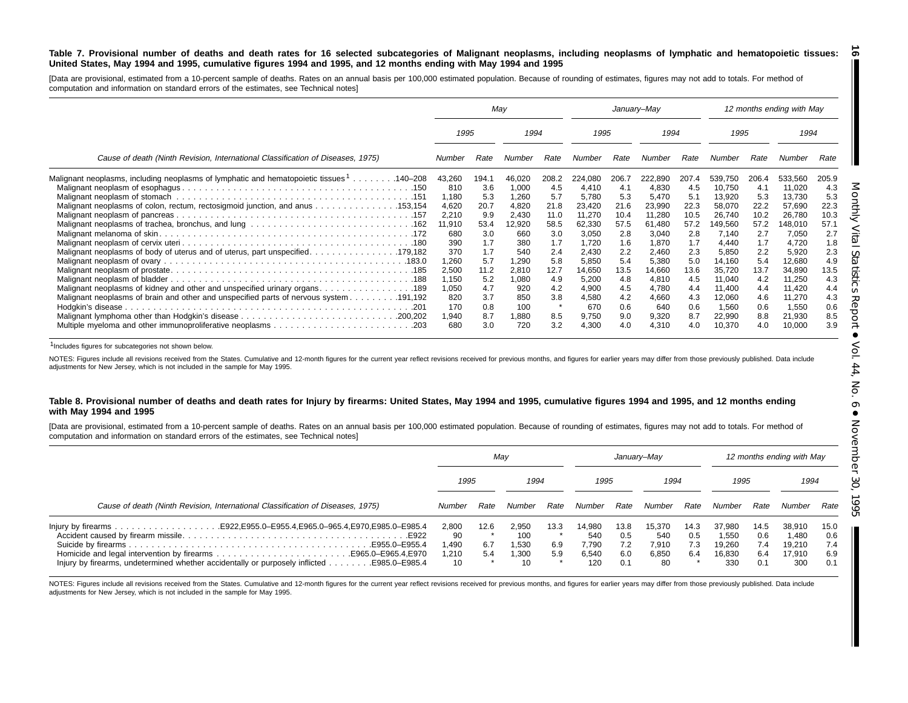#### Table 7. Provisional number of deaths and death rates for 16 selected subcategories of Malignant neoplasms, including neoplasms of lymphatic and hematopoietic tissues: United States, May 1994 and 1995, cumulative figures 1994 and 1995, and 12 months ending with May 1994 and 1995 <u>ිබ</u>

[Data are provisional, estimated from a 10-percent sample of deaths. Rates on an annual basis per 100,000 estimated population. Because of rounding of estimates, figures may not add to totals. For method of computation and information on standard errors of the estimates, see Technical notes]

|                                                                                                      |              | May        |              |            | January-May    |            |                |            |                  |            | 12 months ending with May |            |
|------------------------------------------------------------------------------------------------------|--------------|------------|--------------|------------|----------------|------------|----------------|------------|------------------|------------|---------------------------|------------|
|                                                                                                      | 1995         |            | 1994         |            | 1995           |            | 1994           |            | 1995             |            | 1994                      |            |
| Cause of death (Ninth Revision, International Classification of Diseases, 1975)                      | Number       | Rate       | Number       | Rate       | Number         | Rate       | Number         | Rate       | Number           | Rate       | Number                    | Rate       |
| Malignant neoplasms, including neoplasms of lymphatic and hematopoietic tissues <sup>1</sup> 140–208 | 43,260       | 194.1      | 46,020       | 208.2      | 224,080        | 206.7      | 222,890        | 207.4      | 539,750          | 206.4      | 533,560                   | 205.9      |
|                                                                                                      | 810          | 3.6        | 1,000        | 4.5        | 4,410          | -4.1       | 4,830          | 4.5        | 10,750           | 4.1        | 11,020                    | 4.3        |
|                                                                                                      | 1,180        | 5.3        | 1,260        | 5.7        | 5,780          | 5.3        | 5,470          | 5.1        | 13,920           | 5.3        | 13,730                    | 5.3        |
| Malignant neoplasms of colon, rectum, rectosigmoid junction, and anus 153,154                        | 4,620        | 20.7       | 4,820        | 21.8       | 23,420         | 21.6       | 23,990         | 22.3       | 58,070           | 22.2       | 57,690                    | 22.3       |
|                                                                                                      | 2,210        | 9.9        | 2,430        | 11.0       | 11,270         | 10.4       | 11,280         | 10.5       | 26,740           | 10.2       | 26,780                    | 10.3       |
|                                                                                                      | 11,910       | 53.4       | 12,920       | 58.5       | 62,330         | 57.5       | 61,480         | 57.2       | 149,560          | 57.2       | 148,010                   | 57.1       |
|                                                                                                      | 680          | 3.0        | 660          | 3.0        | 3,050          | 2.8        | 3,040          | 2.8        | 7,140            | 2.7        | 7,050                     | 2.7        |
|                                                                                                      | 390          | 1.7        | 380          | 1.7        | 1,720          | 1.6        | 1,870          | 1.7        | 4,440            | 1.7        | 4,720                     | 1.8        |
|                                                                                                      | 370          | 1.7        | 540          | 2.4        | 2.430          | 2.2        | 2,460          | 2.3        | 5,850            | 2.2        | 5,920                     | 2.3        |
|                                                                                                      | 1,260        | 5.7        | 1.290        | 5.8        | 5.850          | 5.4        | 5,380          | 5.0        | 14,160           | 5.4        | 12,680                    | 4.9        |
|                                                                                                      | 2,500        | 11.2       | 2,810        | 12.7       | 14,650         | 13.5       | 14,660         | 13.6       | 35,720           | 13.7       | 34,890                    | 13.5       |
|                                                                                                      | 1,150        | 5.2        | 1,080        | 4.9        | 5,200          | 4.8        | 4,810          | 4.5        | 11,040           | 4.2        | 11,250                    | 4.3        |
| 189. 189. Malignant neoplasms of kidney and other and unspecified urinary organs. 189                | 1,050        | 4.7        | 920          | 4.2        | 4,900          | 4.5        | 4,780          | 4.4        | 11,400           | 4.4        | 11,420                    | 4.4        |
| 191,192. Malignant neoplasms of brain and other and unspecified parts of nervous system 191,192      | 820          | 3.7        | 850          | 3.8        | 4,580          | 4.2        | 4,660          | 4.3        | 12,060           | 4.6        | 11,270                    | 4.3        |
|                                                                                                      | 170          | 0.8        | 100          |            | 670            | 0.6        | 640            | 0.6<br>8.7 | 1,560            | 0.6        | 1,550                     | 0.6        |
|                                                                                                      | 1,940<br>680 | 8.7<br>3.0 | 1,880<br>720 | 8.5<br>3.2 | 9,750<br>4,300 | 9.0<br>4.0 | 9,320<br>4,310 | 4.0        | 22,990<br>10,370 | 8.8<br>4.0 | 21,930<br>10,000          | 8.5<br>3.9 |

1Includes figures for subcategories not shown below.

NOTES: Figures include all revisions received from the States. Cumulative and 12-month figures for the current year reflect revisions received for previous months, and figures for earlier years may differ from those previo adjustments for New Jersey, which is not included in the sample for May 1995.

#### Table 8. Provisional number of deaths and death rates for Injury by firearms: United States, May 1994 and 1995, cumulative figures 1994 and 1995, and 12 months ending **with May 1994 and 1995**

[Data are provisional, estimated from a 10-percent sample of deaths. Rates on an annual basis per 100,000 estimated population. Because of rounding of estimates, figures may not add to totals. For method of computation and information on standard errors of the estimates, see Technical notes]

|                                                                                           |                                    | May                |                                      |                    |                                        |                                  | January–May                           |                           |                                            |                                  | 12 months ending with May                  |                                  |
|-------------------------------------------------------------------------------------------|------------------------------------|--------------------|--------------------------------------|--------------------|----------------------------------------|----------------------------------|---------------------------------------|---------------------------|--------------------------------------------|----------------------------------|--------------------------------------------|----------------------------------|
|                                                                                           | 1995                               |                    | 1994                                 |                    | 1995                                   |                                  | 1994                                  |                           | 1995                                       |                                  | 1994                                       |                                  |
| Cause of death (Ninth Revision, International Classification of Diseases, 1975)           |                                    | Rate               | Number                               | Rate               | Number                                 | Rate                             | Number                                | Rate                      | Number                                     | Rate                             | Number                                     | Rate                             |
| Injury by firearms, undetermined whether accidentally or purposely inflicted 985.0–E985.4 | 2,800<br>90<br>1.490<br>.210<br>10 | 12.6<br>6.7<br>5.4 | 2,950<br>100<br>1.530<br>1.300<br>10 | 13.3<br>6.9<br>5.9 | 14.980<br>540<br>7.790<br>6.540<br>120 | 13.8<br>0.5<br>7.2<br>6.0<br>0.1 | 15.370<br>540<br>7.910<br>6,850<br>80 | 14.3<br>0.5<br>7.3<br>6.4 | 37.980<br>1.550<br>19.260<br>16,830<br>330 | 14.5<br>0.6<br>7.4<br>6.4<br>0.1 | 38,910<br>1.480<br>19.210<br>17.910<br>300 | 15.0<br>0.6<br>7.4<br>6.9<br>0.1 |

NOTES: Figures include all revisions received from the States. Cumulative and 12-month figures for the current year reflect revisions received for previous months, and figures for earlier years may differ from those previo adjustments for New Jersey, which is not included in the sample for May 1995.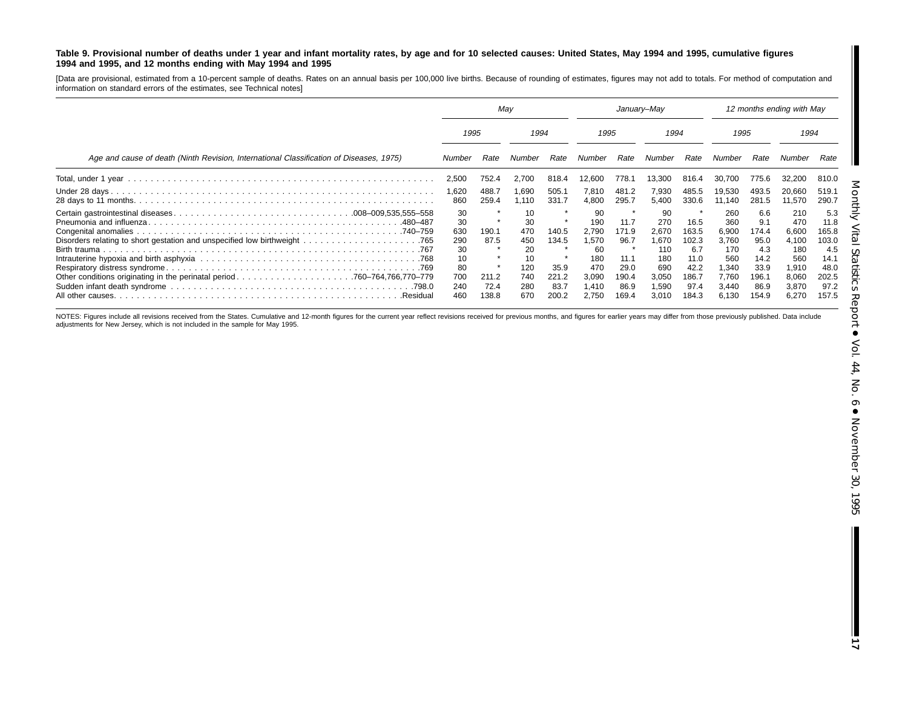#### Table 9. Provisional number of deaths under 1 year and infant mortality rates, by age and for 10 selected causes: United States, May 1994 and 1995, cumulative figures **1994 and 1995, and 12 months ending with May 1994 and 1995**

[Data are provisional, estimated from a 10-percent sample of deaths. Rates on an annual basis per 100,000 live births. Because of rounding of estimates, figures may not add to totals. For method of computation and information on standard errors of the estimates, see Technical notes]

|                                                                                         | May                                                           |                                         |                                                                | January–May                                      |                                                                            |                                                                 |                                                                           | 12 months ending with May                                               |                                                                                |                                                                              |                                                                                |                                                                                |
|-----------------------------------------------------------------------------------------|---------------------------------------------------------------|-----------------------------------------|----------------------------------------------------------------|--------------------------------------------------|----------------------------------------------------------------------------|-----------------------------------------------------------------|---------------------------------------------------------------------------|-------------------------------------------------------------------------|--------------------------------------------------------------------------------|------------------------------------------------------------------------------|--------------------------------------------------------------------------------|--------------------------------------------------------------------------------|
|                                                                                         | 1995                                                          |                                         | 1994                                                           |                                                  | 1995                                                                       |                                                                 | 1994                                                                      |                                                                         | 1995                                                                           |                                                                              | 1994                                                                           |                                                                                |
| Age and cause of death (Ninth Revision, International Classification of Diseases, 1975) | Number                                                        | Rate                                    | Number                                                         | Rate                                             | Number                                                                     | Rate                                                            | Number                                                                    | Rate                                                                    | Number                                                                         | Rate                                                                         | Number                                                                         | Rate                                                                           |
|                                                                                         | 2,500                                                         | 752.4                                   | 2.700                                                          | 818.4                                            | 12,600                                                                     | 778.                                                            | 13.300                                                                    | 816.4                                                                   |                                                                                | 775.6                                                                        | 32.200                                                                         | 810.0                                                                          |
|                                                                                         | 1,620<br>860                                                  | 488.7<br>259.4                          | 1,690<br>1.110                                                 | 505.1<br>331.7                                   | 7,810<br>4,800                                                             | 481.2<br>295.7                                                  | 7,930<br>5,400                                                            | 485.5<br>330.6                                                          | 19.530<br>11.140                                                               | 493.5<br>281.5                                                               | 20,660<br>11,570                                                               | 519.1<br>290.7                                                                 |
| Other conditions originating in the perinatal period760–764,766,770–779<br>.Residual    | 30<br>30<br>630<br>290<br>30<br>10<br>80<br>700<br>240<br>460 | 190.1<br>87.5<br>211.2<br>72.4<br>138.8 | 10<br>30<br>470<br>450<br>20<br>10<br>120<br>740<br>280<br>670 | 140.5<br>134.5<br>35.9<br>221.2<br>83.7<br>200.2 | 90<br>190<br>2.790<br>1.570<br>60<br>180<br>470<br>3,090<br>1,410<br>2.750 | 11.7<br>171.9<br>96.7<br>11.1<br>29.0<br>190.4<br>86.9<br>169.4 | 90<br>270<br>2.670<br>.670<br>110<br>180<br>690<br>3,050<br>.590<br>3.010 | 16.5<br>163.5<br>102.3<br>6.7<br>11.0<br>42.2<br>186.7<br>97.4<br>184.3 | 260<br>360<br>6.900<br>3,760<br>170<br>560<br>1,340<br>7,760<br>3.440<br>6.130 | 6.6<br>9.1<br>174.4<br>95.0<br>4.3<br>14.2<br>33.9<br>196.1<br>86.9<br>154.9 | 210<br>470<br>6,600<br>4,100<br>180<br>560<br>1,910<br>8,060<br>3,870<br>6,270 | 5.3<br>11.8<br>165.8<br>103.0<br>4.5<br>14.1<br>48.0<br>202.5<br>97.2<br>157.5 |

NOTES: Figures include all revisions received from the States. Cumulative and 12-month figures for the current year reflect revisions received for previous months, and figures for earlier years may differ from those previo adjustments for New Jersey, which is not included in the sample for May 1995.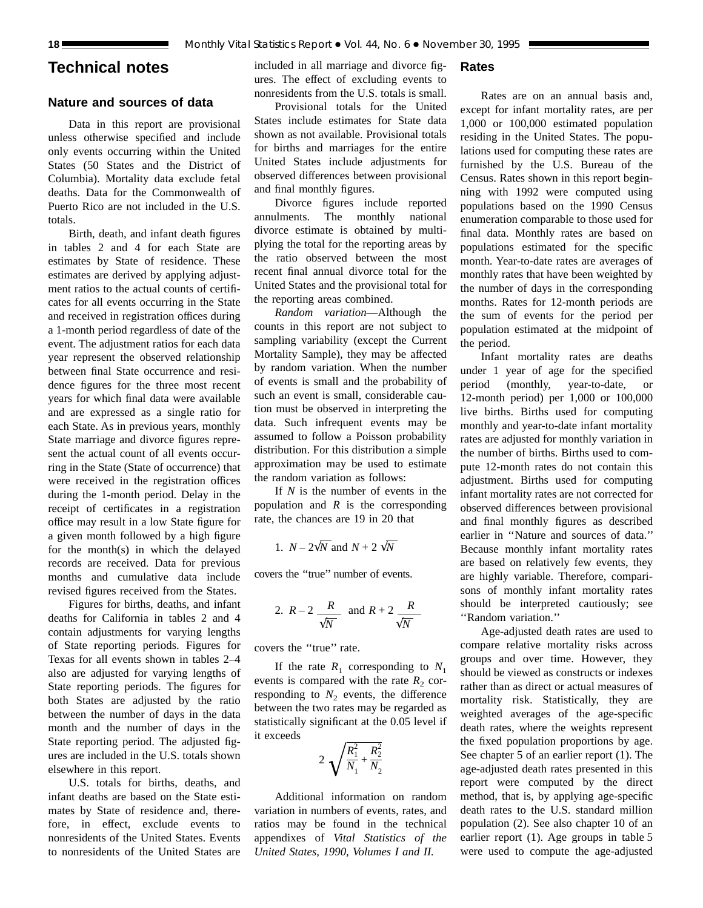## **Technical notes**

## **Nature and sources of data**

Data in this report are provisional unless otherwise specified and include only events occurring within the United States (50 States and the District of Columbia). Mortality data exclude fetal deaths. Data for the Commonwealth of Puerto Rico are not included in the U.S. totals.

Birth, death, and infant death figures in tables 2 and 4 for each State are estimates by State of residence. These estimates are derived by applying adjustment ratios to the actual counts of certificates for all events occurring in the State and received in registration offices during a 1-month period regardless of date of the event. The adjustment ratios for each data year represent the observed relationship between final State occurrence and residence figures for the three most recent years for which final data were available and are expressed as a single ratio for each State. As in previous years, monthly State marriage and divorce figures represent the actual count of all events occurring in the State (State of occurrence) that were received in the registration offices during the 1-month period. Delay in the receipt of certificates in a registration office may result in a low State figure for a given month followed by a high figure for the month(s) in which the delayed records are received. Data for previous months and cumulative data include revised figures received from the States.

Figures for births, deaths, and infant deaths for California in tables 2 and 4 contain adjustments for varying lengths of State reporting periods. Figures for Texas for all events shown in tables 2–4 also are adjusted for varying lengths of State reporting periods. The figures for both States are adjusted by the ratio between the number of days in the data month and the number of days in the State reporting period. The adjusted figures are included in the U.S. totals shown elsewhere in this report.

U.S. totals for births, deaths, and infant deaths are based on the State estimates by State of residence and, therefore, in effect, exclude events to nonresidents of the United States. Events to nonresidents of the United States are included in all marriage and divorce figures. The effect of excluding events to nonresidents from the U.S. totals is small.

## Provisional totals for the United States include estimates for State data shown as not available. Provisional totals for births and marriages for the entire United States include adjustments for observed differences between provisional and final monthly figures.

Divorce figures include reported annulments. The monthly national divorce estimate is obtained by multiplying the total for the reporting areas by the ratio observed between the most recent final annual divorce total for the United States and the provisional total for the reporting areas combined.

*Random variation*—Although the counts in this report are not subject to sampling variability (except the Current Mortality Sample), they may be affected by random variation. When the number of events is small and the probability of such an event is small, considerable caution must be observed in interpreting the data. Such infrequent events may be assumed to follow a Poisson probability distribution. For this distribution a simple approximation may be used to estimate the random variation as follows:

If *N* is the number of events in the population and *R* is the corresponding rate, the chances are 19 in 20 that

1. 
$$
N - 2\sqrt{N}
$$
 and  $N + 2\sqrt{N}$ 

covers the ''true'' number of events.

2. 
$$
R-2
$$
  $\frac{R}{\sqrt{N}}$  and  $R+2$   $\frac{R}{\sqrt{N}}$ 

covers the ''true'' rate.

If the rate  $R_1$  corresponding to  $N_1$ events is compared with the rate  $R_2$  corresponding to  $N_2$  events, the difference between the two rates may be regarded as statistically significant at the 0.05 level if it exceeds

$$
2\sqrt{\frac{R_1^2}{N_1} + \frac{R_2^2}{N_2}}
$$

Additional information on random variation in numbers of events, rates, and ratios may be found in the technical appendixes of *Vital Statistics of the United States, 1990, Volumes I and II.*

**Rates**

Rates are on an annual basis and, except for infant mortality rates, are per 1,000 or 100,000 estimated population residing in the United States. The populations used for computing these rates are furnished by the U.S. Bureau of the Census. Rates shown in this report beginning with 1992 were computed using populations based on the 1990 Census enumeration comparable to those used for final data. Monthly rates are based on populations estimated for the specific month. Year-to-date rates are averages of monthly rates that have been weighted by the number of days in the corresponding months. Rates for 12-month periods are the sum of events for the period per population estimated at the midpoint of the period.

Infant mortality rates are deaths under 1 year of age for the specified period (monthly, year-to-date, or 12-month period) per 1,000 or 100,000 live births. Births used for computing monthly and year-to-date infant mortality rates are adjusted for monthly variation in the number of births. Births used to compute 12-month rates do not contain this adjustment. Births used for computing infant mortality rates are not corrected for observed differences between provisional and final monthly figures as described earlier in ''Nature and sources of data.'' Because monthly infant mortality rates are based on relatively few events, they are highly variable. Therefore, comparisons of monthly infant mortality rates should be interpreted cautiously; see ''Random variation.''

Age-adjusted death rates are used to compare relative mortality risks across groups and over time. However, they should be viewed as constructs or indexes rather than as direct or actual measures of mortality risk. Statistically, they are weighted averages of the age-specific death rates, where the weights represent the fixed population proportions by age. See chapter 5 of an earlier report (1). The age-adjusted death rates presented in this report were computed by the direct method, that is, by applying age-specific death rates to the U.S. standard million population (2). See also chapter 10 of an earlier report (1). Age groups in table 5 were used to compute the age-adjusted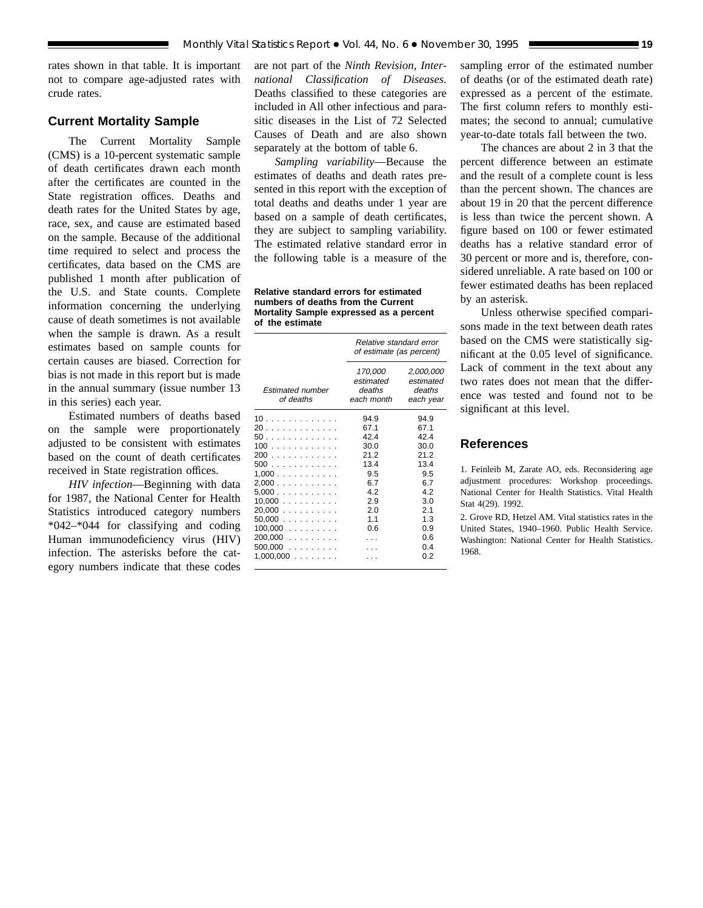rates shown in that table. It is important not to compare age-adjusted rates with crude rates.

## **Current Mortality Sample**

The Current Mortality Sample (CMS) is a 10-percent systematic sample of death certificates drawn each month after the certificates are counted in the State registration offices. Deaths and death rates for the United States by age, race, sex, and cause are estimated based on the sample. Because of the additional time required to select and process the certificates, data based on the CMS are published 1 month after publication of the U.S. and State counts. Complete information concerning the underlying cause of death sometimes is not available when the sample is drawn. As a result estimates based on sample counts for certain causes are biased. Correction for bias is not made in this report but is made in the annual summary (issue number 13 in this series) each year.

Estimated numbers of deaths based on the sample were proportionately adjusted to be consistent with estimates based on the count of death certificates received in State registration offices.

*HIV infection*—Beginning with data for 1987, the National Center for Health Statistics introduced category numbers \*042–\*044 for classifying and coding Human immunodeficiency virus (HIV) infection. The asterisks before the category numbers indicate that these codes

are not part of the *Ninth Revision, International Classification of Diseases.* Deaths classified to these categories are included in All other infectious and parasitic diseases in the List of 72 Selected Causes of Death and are also shown separately at the bottom of table 6.

*Sampling variability*—Because the estimates of deaths and death rates presented in this report with the exception of total deaths and deaths under 1 year are based on a sample of death certificates, they are subject to sampling variability. The estimated relative standard error in the following table is a measure of the

**Relative standard errors for estimated numbers of deaths from the Current Mortality Sample expressed as a percent of the estimate**

|                                      | Relative standard error<br>of estimate (as percent) |                                               |  |  |  |  |  |
|--------------------------------------|-----------------------------------------------------|-----------------------------------------------|--|--|--|--|--|
| <b>Estimated number</b><br>of deaths | 170,000<br>estimated<br>deaths<br>each month        | 2,000,000<br>estimated<br>deaths<br>each year |  |  |  |  |  |
| 10                                   | 94.9                                                | 94.9                                          |  |  |  |  |  |
| 20.                                  | 67.1                                                | 67.1                                          |  |  |  |  |  |
| 50                                   | 424                                                 | 424                                           |  |  |  |  |  |
| $100$ .<br>.                         | 30.0                                                | 30.0                                          |  |  |  |  |  |
| 200.                                 | 21 2                                                | 21.2                                          |  |  |  |  |  |
| 500                                  | 13.4                                                | 13.4                                          |  |  |  |  |  |
| $1,000$                              | 9.5                                                 | 9.5                                           |  |  |  |  |  |
| 2,000                                | 6.7                                                 | 67                                            |  |  |  |  |  |
| 5.000                                | 4.2                                                 | 42                                            |  |  |  |  |  |
| 10.000                               | 2.9                                                 | 3.0                                           |  |  |  |  |  |
| $20,000$                             | 2.0                                                 | 2.1                                           |  |  |  |  |  |
| $50,000$                             | 11                                                  | 1.3                                           |  |  |  |  |  |
| $100,000$                            | 0.6                                                 | 0.9                                           |  |  |  |  |  |
| $200,000$                            |                                                     | 0.6                                           |  |  |  |  |  |
| $500,000$                            |                                                     | 04                                            |  |  |  |  |  |
| 1,000,000                            |                                                     | 0 2                                           |  |  |  |  |  |

sampling error of the estimated number of deaths (or of the estimated death rate) expressed as a percent of the estimate. The first column refers to monthly estimates; the second to annual; cumulative year-to-date totals fall between the two.

The chances are about 2 in 3 that the percent difference between an estimate and the result of a complete count is less than the percent shown. The chances are about 19 in 20 that the percent difference is less than twice the percent shown. A figure based on 100 or fewer estimated deaths has a relative standard error of 30 percent or more and is, therefore, considered unreliable. A rate based on 100 or fewer estimated deaths has been replaced by an asterisk.

Unless otherwise specified comparisons made in the text between death rates based on the CMS were statistically significant at the 0.05 level of significance. Lack of comment in the text about any two rates does not mean that the difference was tested and found not to be significant at this level.

## **References**

1. Feinleib M, Zarate AO, eds. Reconsidering age adjustment procedures: Workshop proceedings. National Center for Health Statistics. Vital Health Stat 4(29). 1992.

2. Grove RD, Hetzel AM. Vital statistics rates in the United States, 1940–1960. Public Health Service. Washington: National Center for Health Statistics. 1968.